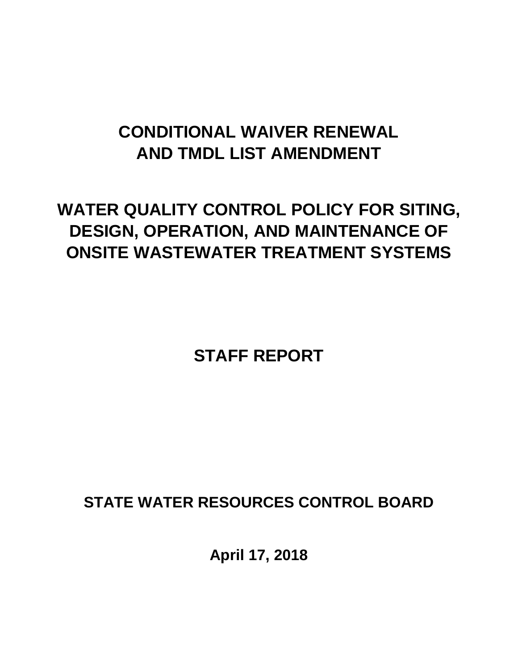# **CONDITIONAL WAIVER RENEWAL AND TMDL LIST AMENDMENT**

# **WATER QUALITY CONTROL POLICY FOR SITING, DESIGN, OPERATION, AND MAINTENANCE OF ONSITE WASTEWATER TREATMENT SYSTEMS**

**STAFF REPORT** 

**STATE WATER RESOURCES CONTROL BOARD** 

**April 17, 2018**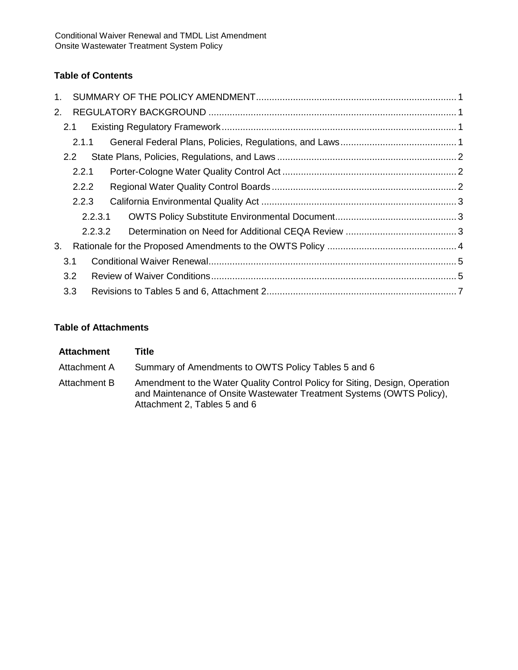## **Table of Contents**

| $1_{-}$ |               |         |  |  |  |  |  |  |
|---------|---------------|---------|--|--|--|--|--|--|
| 2.      |               |         |  |  |  |  |  |  |
|         | 2.1           |         |  |  |  |  |  |  |
|         |               | 2.1.1   |  |  |  |  |  |  |
|         | $2.2^{\circ}$ |         |  |  |  |  |  |  |
|         |               | 2.2.1   |  |  |  |  |  |  |
|         |               | 2.2.2   |  |  |  |  |  |  |
|         |               | 2.2.3   |  |  |  |  |  |  |
|         |               | 2.2.3.1 |  |  |  |  |  |  |
|         |               | 2.2.3.2 |  |  |  |  |  |  |
| 3.      |               |         |  |  |  |  |  |  |
|         | 3.1           |         |  |  |  |  |  |  |
|         | 3.2           |         |  |  |  |  |  |  |
|         | 3.3           |         |  |  |  |  |  |  |

## **Table of Attachments**

| <b>Attachment</b> | Title                                                                                                                                                                                |
|-------------------|--------------------------------------------------------------------------------------------------------------------------------------------------------------------------------------|
| Attachment A      | Summary of Amendments to OWTS Policy Tables 5 and 6                                                                                                                                  |
| Attachment B      | Amendment to the Water Quality Control Policy for Siting, Design, Operation<br>and Maintenance of Onsite Wastewater Treatment Systems (OWTS Policy),<br>Attachment 2, Tables 5 and 6 |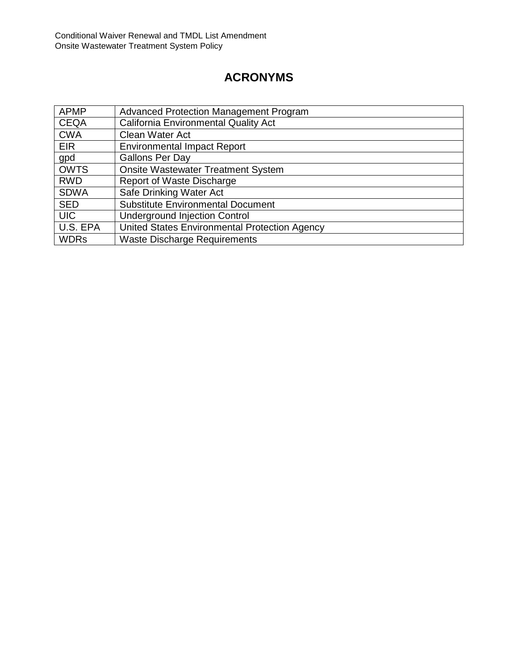# **ACRONYMS**

| <b>APMP</b> | <b>Advanced Protection Management Program</b> |
|-------------|-----------------------------------------------|
| <b>CEQA</b> | <b>California Environmental Quality Act</b>   |
| <b>CWA</b>  | Clean Water Act                               |
| <b>EIR</b>  | <b>Environmental Impact Report</b>            |
| gpd         | <b>Gallons Per Day</b>                        |
| <b>OWTS</b> | <b>Onsite Wastewater Treatment System</b>     |
| <b>RWD</b>  | Report of Waste Discharge                     |
| <b>SDWA</b> | Safe Drinking Water Act                       |
| <b>SED</b>  | <b>Substitute Environmental Document</b>      |
| <b>UIC</b>  | <b>Underground Injection Control</b>          |
| U.S. EPA    | United States Environmental Protection Agency |
| <b>WDRs</b> | <b>Waste Discharge Requirements</b>           |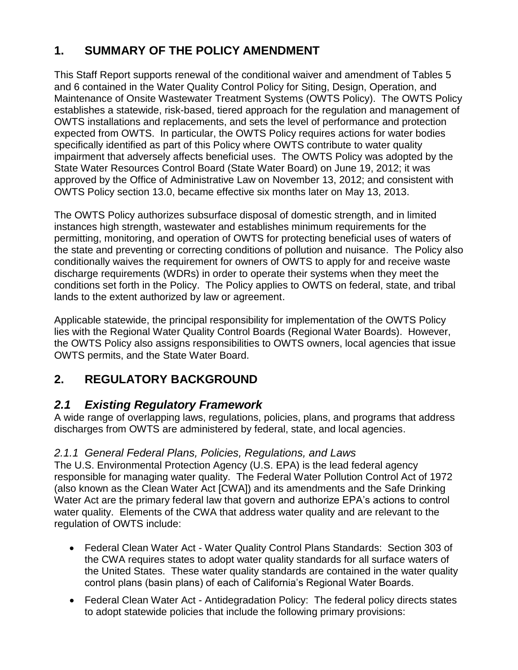# <span id="page-3-0"></span>**1. SUMMARY OF THE POLICY AMENDMENT**

This Staff Report supports renewal of the conditional waiver and amendment of Tables 5 and 6 contained in the Water Quality Control Policy for Siting, Design, Operation, and Maintenance of Onsite Wastewater Treatment Systems (OWTS Policy). The OWTS Policy establishes a statewide, risk-based, tiered approach for the regulation and management of OWTS installations and replacements, and sets the level of performance and protection expected from OWTS. In particular, the OWTS Policy requires actions for water bodies specifically identified as part of this Policy where OWTS contribute to water quality impairment that adversely affects beneficial uses. The OWTS Policy was adopted by the State Water Resources Control Board (State Water Board) on June 19, 2012; it was approved by the Office of Administrative Law on November 13, 2012; and consistent with OWTS Policy section 13.0, became effective six months later on May 13, 2013.

The OWTS Policy authorizes subsurface disposal of domestic strength, and in limited instances high strength, wastewater and establishes minimum requirements for the permitting, monitoring, and operation of OWTS for protecting beneficial uses of waters of the state and preventing or correcting conditions of pollution and nuisance. The Policy also conditionally waives the requirement for owners of OWTS to apply for and receive waste discharge requirements (WDRs) in order to operate their systems when they meet the conditions set forth in the Policy. The Policy applies to OWTS on federal, state, and tribal lands to the extent authorized by law or agreement.

Applicable statewide, the principal responsibility for implementation of the OWTS Policy lies with the Regional Water Quality Control Boards (Regional Water Boards). However, the OWTS Policy also assigns responsibilities to OWTS owners, local agencies that issue OWTS permits, and the State Water Board.

# <span id="page-3-1"></span>**2. REGULATORY BACKGROUND**

# <span id="page-3-2"></span>*2.1 Existing Regulatory Framework*

A wide range of overlapping laws, regulations, policies, plans, and programs that address discharges from OWTS are administered by federal, state, and local agencies.

# <span id="page-3-3"></span>*2.1.1 General Federal Plans, Policies, Regulations, and Laws*

The U.S. Environmental Protection Agency (U.S. EPA) is the lead federal agency responsible for managing water quality. The Federal Water Pollution Control Act of 1972 (also known as the Clean Water Act [CWA]) and its amendments and the Safe Drinking Water Act are the primary federal law that govern and authorize EPA's actions to control water quality. Elements of the CWA that address water quality and are relevant to the regulation of OWTS include:

- Federal Clean Water Act Water Quality Control Plans Standards: Section 303 of the CWA requires states to adopt water quality standards for all surface waters of the United States. These water quality standards are contained in the water quality control plans (basin plans) of each of California's Regional Water Boards.
- Federal Clean Water Act Antidegradation Policy: The federal policy directs states to adopt statewide policies that include the following primary provisions: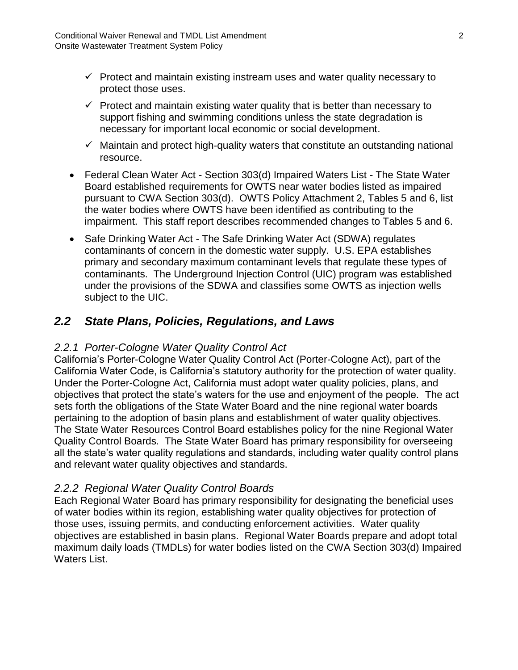- $\checkmark$  Protect and maintain existing instream uses and water quality necessary to protect those uses.
- $\checkmark$  Protect and maintain existing water quality that is better than necessary to support fishing and swimming conditions unless the state degradation is necessary for important local economic or social development.
- $\checkmark$  Maintain and protect high-quality waters that constitute an outstanding national resource.
- Federal Clean Water Act Section 303(d) Impaired Waters List The State Water Board established requirements for OWTS near water bodies listed as impaired pursuant to CWA Section 303(d). OWTS Policy Attachment 2, Tables 5 and 6, list the water bodies where OWTS have been identified as contributing to the impairment. This staff report describes recommended changes to Tables 5 and 6.
- Safe Drinking Water Act The Safe Drinking Water Act (SDWA) regulates contaminants of concern in the domestic water supply. U.S. EPA establishes primary and secondary maximum contaminant levels that regulate these types of contaminants. The Underground Injection Control (UIC) program was established under the provisions of the SDWA and classifies some OWTS as injection wells subject to the UIC.

# <span id="page-4-0"></span>*2.2 State Plans, Policies, Regulations, and Laws*

## <span id="page-4-1"></span>*2.2.1 Porter-Cologne Water Quality Control Act*

California's Porter-Cologne Water Quality Control Act (Porter-Cologne Act), part of the California Water Code, is California's statutory authority for the protection of water quality. Under the Porter-Cologne Act, California must adopt water quality policies, plans, and objectives that protect the state's waters for the use and enjoyment of the people. The act sets forth the obligations of the State Water Board and the nine regional water boards pertaining to the adoption of basin plans and establishment of water quality objectives. The State Water Resources Control Board establishes policy for the nine Regional Water Quality Control Boards. The State Water Board has primary responsibility for overseeing all the state's water quality regulations and standards, including water quality control plans and relevant water quality objectives and standards.

## <span id="page-4-2"></span>*2.2.2 Regional Water Quality Control Boards*

Each Regional Water Board has primary responsibility for designating the beneficial uses of water bodies within its region, establishing water quality objectives for protection of those uses, issuing permits, and conducting enforcement activities. Water quality objectives are established in basin plans. Regional Water Boards prepare and adopt total maximum daily loads (TMDLs) for water bodies listed on the CWA Section 303(d) Impaired Waters List.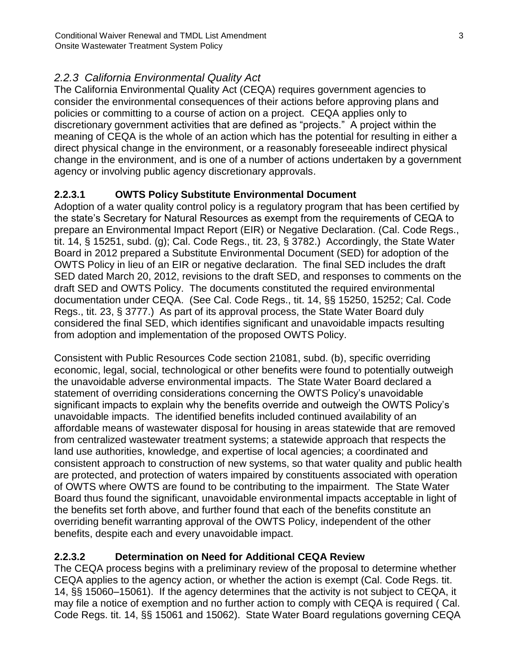# <span id="page-5-0"></span>*2.2.3 California Environmental Quality Act*

The California Environmental Quality Act (CEQA) requires government agencies to consider the environmental consequences of their actions before approving plans and policies or committing to a course of action on a project. CEQA applies only to discretionary government activities that are defined as "projects." A project within the meaning of CEQA is the whole of an action which has the potential for resulting in either a direct physical change in the environment, or a reasonably foreseeable indirect physical change in the environment, and is one of a number of actions undertaken by a government agency or involving public agency discretionary approvals.

## <span id="page-5-1"></span>**2.2.3.1 OWTS Policy Substitute Environmental Document**

Adoption of a water quality control policy is a regulatory program that has been certified by the state's Secretary for Natural Resources as exempt from the requirements of CEQA to prepare an Environmental Impact Report (EIR) or Negative Declaration. (Cal. Code Regs., tit. 14, § 15251, subd. (g); Cal. Code Regs., tit. 23, § 3782.) Accordingly, the State Water Board in 2012 prepared a Substitute Environmental Document (SED) for adoption of the OWTS Policy in lieu of an EIR or negative declaration. The final SED includes the draft SED dated March 20, 2012, revisions to the draft SED, and responses to comments on the draft SED and OWTS Policy. The documents constituted the required environmental documentation under CEQA. (See Cal. Code Regs., tit. 14, §§ 15250, 15252; Cal. Code Regs., tit. 23, § 3777.) As part of its approval process, the State Water Board duly considered the final SED, which identifies significant and unavoidable impacts resulting from adoption and implementation of the proposed OWTS Policy.

Consistent with Public Resources Code section 21081, subd. (b), specific overriding economic, legal, social, technological or other benefits were found to potentially outweigh the unavoidable adverse environmental impacts. The State Water Board declared a statement of overriding considerations concerning the OWTS Policy's unavoidable significant impacts to explain why the benefits override and outweigh the OWTS Policy's unavoidable impacts. The identified benefits included continued availability of an affordable means of wastewater disposal for housing in areas statewide that are removed from centralized wastewater treatment systems; a statewide approach that respects the land use authorities, knowledge, and expertise of local agencies; a coordinated and consistent approach to construction of new systems, so that water quality and public health are protected, and protection of waters impaired by constituents associated with operation of OWTS where OWTS are found to be contributing to the impairment. The State Water Board thus found the significant, unavoidable environmental impacts acceptable in light of the benefits set forth above, and further found that each of the benefits constitute an overriding benefit warranting approval of the OWTS Policy, independent of the other benefits, despite each and every unavoidable impact.

## <span id="page-5-2"></span>**2.2.3.2 Determination on Need for Additional CEQA Review**

The CEQA process begins with a preliminary review of the proposal to determine whether CEQA applies to the agency action, or whether the action is exempt (Cal. Code Regs. tit. 14, §§ 15060–15061). If the agency determines that the activity is not subject to CEQA, it may file a notice of exemption and no further action to comply with CEQA is required ( Cal. Code Regs. tit. 14, §§ 15061 and 15062). State Water Board regulations governing CEQA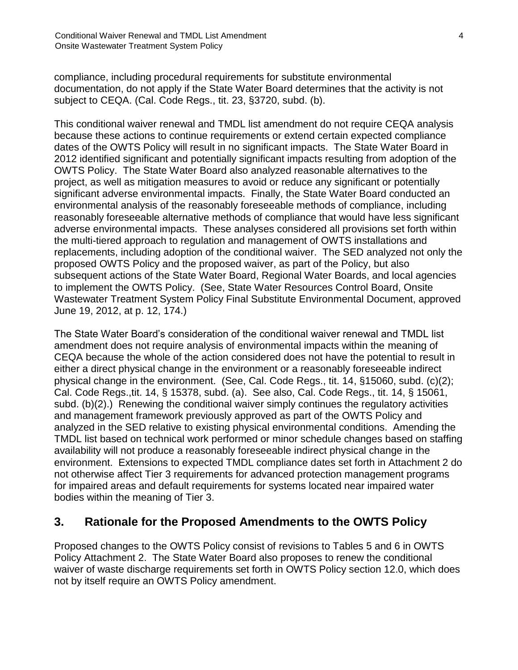compliance, including procedural requirements for substitute environmental documentation, do not apply if the State Water Board determines that the activity is not subject to CEQA. (Cal. Code Regs., tit. 23, §3720, subd. (b).

This conditional waiver renewal and TMDL list amendment do not require CEQA analysis because these actions to continue requirements or extend certain expected compliance dates of the OWTS Policy will result in no significant impacts. The State Water Board in 2012 identified significant and potentially significant impacts resulting from adoption of the OWTS Policy. The State Water Board also analyzed reasonable alternatives to the project, as well as mitigation measures to avoid or reduce any significant or potentially significant adverse environmental impacts. Finally, the State Water Board conducted an environmental analysis of the reasonably foreseeable methods of compliance, including reasonably foreseeable alternative methods of compliance that would have less significant adverse environmental impacts. These analyses considered all provisions set forth within the multi-tiered approach to regulation and management of OWTS installations and replacements, including adoption of the conditional waiver. The SED analyzed not only the proposed OWTS Policy and the proposed waiver, as part of the Policy, but also subsequent actions of the State Water Board, Regional Water Boards, and local agencies to implement the OWTS Policy. (See, State Water Resources Control Board, Onsite Wastewater Treatment System Policy Final Substitute Environmental Document, approved June 19, 2012, at p. 12, 174.)

The State Water Board's consideration of the conditional waiver renewal and TMDL list amendment does not require analysis of environmental impacts within the meaning of CEQA because the whole of the action considered does not have the potential to result in either a direct physical change in the environment or a reasonably foreseeable indirect physical change in the environment. (See, Cal. Code Regs., tit. 14, §15060, subd. (c)(2); Cal. Code Regs.,tit. 14, § 15378, subd. (a). See also, Cal. Code Regs., tit. 14, § 15061, subd. (b)(2).) Renewing the conditional waiver simply continues the regulatory activities and management framework previously approved as part of the OWTS Policy and analyzed in the SED relative to existing physical environmental conditions. Amending the TMDL list based on technical work performed or minor schedule changes based on staffing availability will not produce a reasonably foreseeable indirect physical change in the environment. Extensions to expected TMDL compliance dates set forth in Attachment 2 do not otherwise affect Tier 3 requirements for advanced protection management programs for impaired areas and default requirements for systems located near impaired water bodies within the meaning of Tier 3.

# <span id="page-6-0"></span>**3. Rationale for the Proposed Amendments to the OWTS Policy**

Proposed changes to the OWTS Policy consist of revisions to Tables 5 and 6 in OWTS Policy Attachment 2. The State Water Board also proposes to renew the conditional waiver of waste discharge requirements set forth in OWTS Policy section 12.0, which does not by itself require an OWTS Policy amendment.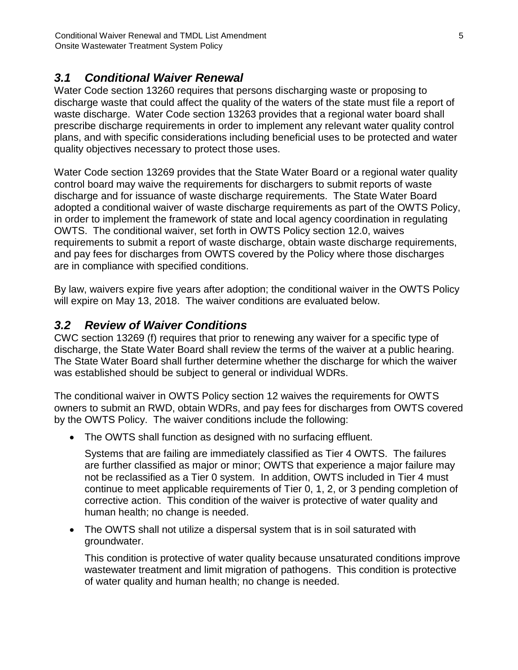# <span id="page-7-0"></span>*3.1 Conditional Waiver Renewal*

Water Code section 13260 requires that persons discharging waste or proposing to discharge waste that could affect the quality of the waters of the state must file a report of waste discharge. Water Code section 13263 provides that a regional water board shall prescribe discharge requirements in order to implement any relevant water quality control plans, and with specific considerations including beneficial uses to be protected and water quality objectives necessary to protect those uses.

Water Code section 13269 provides that the State Water Board or a regional water quality control board may waive the requirements for dischargers to submit reports of waste discharge and for issuance of waste discharge requirements. The State Water Board adopted a conditional waiver of waste discharge requirements as part of the OWTS Policy, in order to implement the framework of state and local agency coordination in regulating OWTS. The conditional waiver, set forth in OWTS Policy section 12.0, waives requirements to submit a report of waste discharge, obtain waste discharge requirements, and pay fees for discharges from OWTS covered by the Policy where those discharges are in compliance with specified conditions.

By law, waivers expire five years after adoption; the conditional waiver in the OWTS Policy will expire on May 13, 2018. The waiver conditions are evaluated below.

# <span id="page-7-1"></span>*3.2 Review of Waiver Conditions*

CWC section 13269 (f) requires that prior to renewing any waiver for a specific type of discharge, the State Water Board shall review the terms of the waiver at a public hearing. The State Water Board shall further determine whether the discharge for which the waiver was established should be subject to general or individual WDRs.

The conditional waiver in OWTS Policy section 12 waives the requirements for OWTS owners to submit an RWD, obtain WDRs, and pay fees for discharges from OWTS covered by the OWTS Policy. The waiver conditions include the following:

• The OWTS shall function as designed with no surfacing effluent.

Systems that are failing are immediately classified as Tier 4 OWTS. The failures are further classified as major or minor; OWTS that experience a major failure may not be reclassified as a Tier 0 system. In addition, OWTS included in Tier 4 must continue to meet applicable requirements of Tier 0, 1, 2, or 3 pending completion of corrective action. This condition of the waiver is protective of water quality and human health; no change is needed.

• The OWTS shall not utilize a dispersal system that is in soil saturated with groundwater.

This condition is protective of water quality because unsaturated conditions improve wastewater treatment and limit migration of pathogens. This condition is protective of water quality and human health; no change is needed.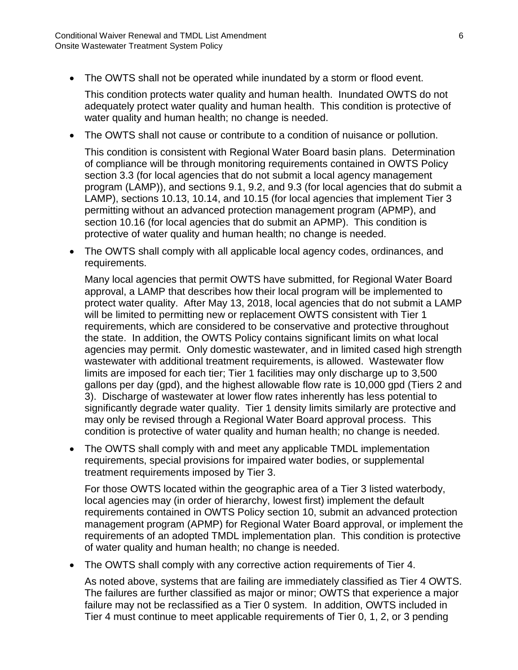• The OWTS shall not be operated while inundated by a storm or flood event.

This condition protects water quality and human health. Inundated OWTS do not adequately protect water quality and human health. This condition is protective of water quality and human health; no change is needed.

• The OWTS shall not cause or contribute to a condition of nuisance or pollution.

This condition is consistent with Regional Water Board basin plans. Determination of compliance will be through monitoring requirements contained in OWTS Policy section 3.3 (for local agencies that do not submit a local agency management program (LAMP)), and sections 9.1, 9.2, and 9.3 (for local agencies that do submit a LAMP), sections 10.13, 10.14, and 10.15 (for local agencies that implement Tier 3 permitting without an advanced protection management program (APMP), and section 10.16 (for local agencies that do submit an APMP). This condition is protective of water quality and human health; no change is needed.

• The OWTS shall comply with all applicable local agency codes, ordinances, and requirements.

Many local agencies that permit OWTS have submitted, for Regional Water Board approval, a LAMP that describes how their local program will be implemented to protect water quality. After May 13, 2018, local agencies that do not submit a LAMP will be limited to permitting new or replacement OWTS consistent with Tier 1 requirements, which are considered to be conservative and protective throughout the state. In addition, the OWTS Policy contains significant limits on what local agencies may permit. Only domestic wastewater, and in limited cased high strength wastewater with additional treatment requirements, is allowed. Wastewater flow limits are imposed for each tier; Tier 1 facilities may only discharge up to 3,500 gallons per day (gpd), and the highest allowable flow rate is 10,000 gpd (Tiers 2 and 3). Discharge of wastewater at lower flow rates inherently has less potential to significantly degrade water quality. Tier 1 density limits similarly are protective and may only be revised through a Regional Water Board approval process. This condition is protective of water quality and human health; no change is needed.

• The OWTS shall comply with and meet any applicable TMDL implementation requirements, special provisions for impaired water bodies, or supplemental treatment requirements imposed by Tier 3.

For those OWTS located within the geographic area of a Tier 3 listed waterbody, local agencies may (in order of hierarchy, lowest first) implement the default requirements contained in OWTS Policy section 10, submit an advanced protection management program (APMP) for Regional Water Board approval, or implement the requirements of an adopted TMDL implementation plan. This condition is protective of water quality and human health; no change is needed.

• The OWTS shall comply with any corrective action requirements of Tier 4.

As noted above, systems that are failing are immediately classified as Tier 4 OWTS. The failures are further classified as major or minor; OWTS that experience a major failure may not be reclassified as a Tier 0 system. In addition, OWTS included in Tier 4 must continue to meet applicable requirements of Tier 0, 1, 2, or 3 pending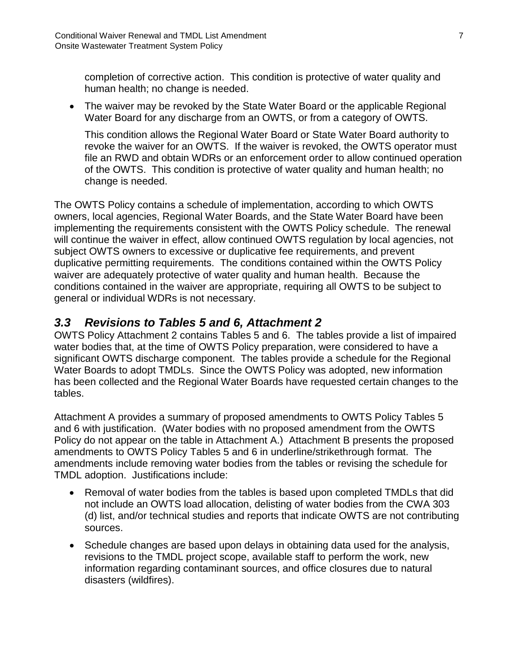completion of corrective action. This condition is protective of water quality and human health; no change is needed.

• The waiver may be revoked by the State Water Board or the applicable Regional Water Board for any discharge from an OWTS, or from a category of OWTS.

This condition allows the Regional Water Board or State Water Board authority to revoke the waiver for an OWTS. If the waiver is revoked, the OWTS operator must file an RWD and obtain WDRs or an enforcement order to allow continued operation of the OWTS. This condition is protective of water quality and human health; no change is needed.

The OWTS Policy contains a schedule of implementation, according to which OWTS owners, local agencies, Regional Water Boards, and the State Water Board have been implementing the requirements consistent with the OWTS Policy schedule. The renewal will continue the waiver in effect, allow continued OWTS regulation by local agencies, not subject OWTS owners to excessive or duplicative fee requirements, and prevent duplicative permitting requirements. The conditions contained within the OWTS Policy waiver are adequately protective of water quality and human health. Because the conditions contained in the waiver are appropriate, requiring all OWTS to be subject to general or individual WDRs is not necessary.

# <span id="page-9-0"></span>*3.3 Revisions to Tables 5 and 6, Attachment 2*

OWTS Policy Attachment 2 contains Tables 5 and 6. The tables provide a list of impaired water bodies that, at the time of OWTS Policy preparation, were considered to have a significant OWTS discharge component. The tables provide a schedule for the Regional Water Boards to adopt TMDLs. Since the OWTS Policy was adopted, new information has been collected and the Regional Water Boards have requested certain changes to the tables.

Attachment A provides a summary of proposed amendments to OWTS Policy Tables 5 and 6 with justification. (Water bodies with no proposed amendment from the OWTS Policy do not appear on the table in Attachment A.) Attachment B presents the proposed amendments to OWTS Policy Tables 5 and 6 in underline/strikethrough format. The amendments include removing water bodies from the tables or revising the schedule for TMDL adoption. Justifications include:

- Removal of water bodies from the tables is based upon completed TMDLs that did not include an OWTS load allocation, delisting of water bodies from the CWA 303 (d) list, and/or technical studies and reports that indicate OWTS are not contributing sources.
- Schedule changes are based upon delays in obtaining data used for the analysis, revisions to the TMDL project scope, available staff to perform the work, new information regarding contaminant sources, and office closures due to natural disasters (wildfires).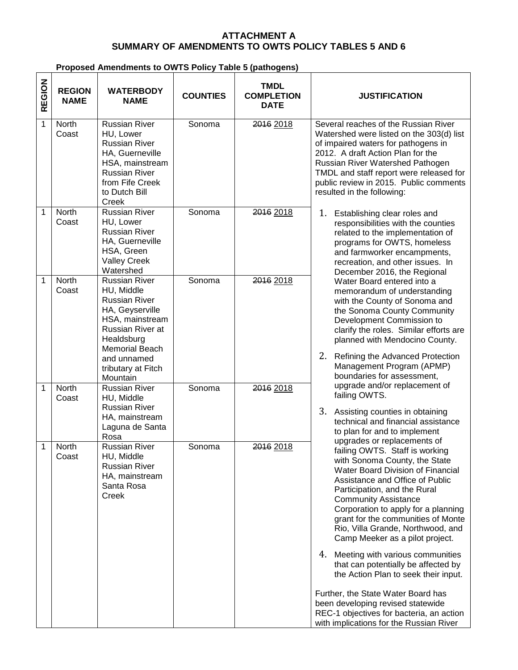### **ATTACHMENT A SUMMARY OF AMENDMENTS TO OWTS POLICY TABLES 5 AND 6**

## **Proposed Amendments to OWTS Policy Table 5 (pathogens)**

| REGION | <b>REGION</b><br><b>NAME</b> | <b>WATERBODY</b><br><b>NAME</b>                                                                                                                                            | <b>COUNTIES</b> | <b>TMDL</b><br><b>COMPLETION</b><br><b>DATE</b> | <b>JUSTIFICATION</b>                                                                                                                                                                                                                                                                                                                                                                                                                                                                                             |
|--------|------------------------------|----------------------------------------------------------------------------------------------------------------------------------------------------------------------------|-----------------|-------------------------------------------------|------------------------------------------------------------------------------------------------------------------------------------------------------------------------------------------------------------------------------------------------------------------------------------------------------------------------------------------------------------------------------------------------------------------------------------------------------------------------------------------------------------------|
| 1      | North<br>Coast               | <b>Russian River</b><br>HU, Lower<br><b>Russian River</b><br>HA, Guerneville<br>HSA, mainstream<br><b>Russian River</b><br>from Fife Creek<br>to Dutch Bill<br>Creek       | Sonoma          | 2016 2018                                       | Several reaches of the Russian River<br>Watershed were listed on the 303(d) list<br>of impaired waters for pathogens in<br>2012. A draft Action Plan for the<br>Russian River Watershed Pathogen<br>TMDL and staff report were released for<br>public review in 2015. Public comments<br>resulted in the following:                                                                                                                                                                                              |
| 1      | North<br>Coast               | <b>Russian River</b><br>HU, Lower<br><b>Russian River</b><br>HA, Guerneville<br>HSA, Green<br><b>Valley Creek</b><br>Watershed                                             | Sonoma          | 2016 2018                                       | 1.<br>Establishing clear roles and<br>responsibilities with the counties<br>related to the implementation of<br>programs for OWTS, homeless<br>and farmworker encampments,<br>recreation, and other issues. In<br>December 2016, the Regional                                                                                                                                                                                                                                                                    |
| 1      | <b>North</b><br>Coast        | <b>Russian River</b><br>HU, Middle<br><b>Russian River</b><br>HA, Geyserville<br>HSA, mainstream<br>Russian River at<br>Healdsburg<br><b>Memorial Beach</b><br>and unnamed | Sonoma          | 2016 2018                                       | Water Board entered into a<br>memorandum of understanding<br>with the County of Sonoma and<br>the Sonoma County Community<br>Development Commission to<br>clarify the roles. Similar efforts are<br>planned with Mendocino County.<br>2. Refining the Advanced Protection                                                                                                                                                                                                                                        |
| 1      | North                        | tributary at Fitch<br>Mountain<br><b>Russian River</b>                                                                                                                     | Sonoma          | 2016 2018                                       | Management Program (APMP)<br>boundaries for assessment,<br>upgrade and/or replacement of                                                                                                                                                                                                                                                                                                                                                                                                                         |
|        | Coast                        | HU, Middle<br><b>Russian River</b><br>HA, mainstream<br>Laguna de Santa<br>Rosa                                                                                            |                 |                                                 | failing OWTS.<br>3. Assisting counties in obtaining<br>technical and financial assistance<br>to plan for and to implement                                                                                                                                                                                                                                                                                                                                                                                        |
| 1      | North<br>Coast               | <b>Russian River</b><br>HU, Middle<br><b>Russian River</b><br>HA, mainstream<br>Santa Rosa<br>Creek                                                                        | Sonoma          | 2016 2018                                       | upgrades or replacements of<br>failing OWTS. Staff is working<br>with Sonoma County, the State<br>Water Board Division of Financial<br>Assistance and Office of Public<br>Participation, and the Rural<br><b>Community Assistance</b><br>Corporation to apply for a planning<br>grant for the communities of Monte<br>Rio, Villa Grande, Northwood, and<br>Camp Meeker as a pilot project.<br>4. Meeting with various communities<br>that can potentially be affected by<br>the Action Plan to seek their input. |
|        |                              |                                                                                                                                                                            |                 |                                                 | Further, the State Water Board has<br>been developing revised statewide<br>REC-1 objectives for bacteria, an action<br>with implications for the Russian River                                                                                                                                                                                                                                                                                                                                                   |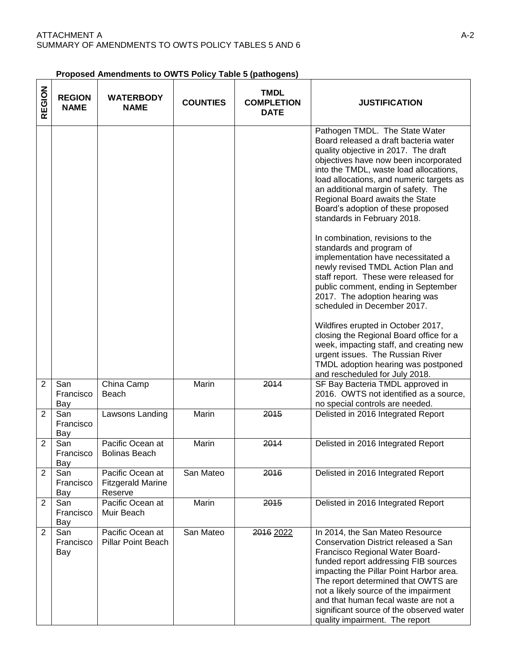| <b>Proposed Amendments to OWTS Policy Table 5 (pathogens)</b> |  |  |
|---------------------------------------------------------------|--|--|
|                                                               |  |  |

| REGION         | <b>REGION</b><br><b>NAME</b> | <b>WATERBODY</b><br><b>NAME</b>                         | <b>COUNTIES</b> | <b>TMDL</b><br><b>COMPLETION</b><br><b>DATE</b> | <b>JUSTIFICATION</b>                                                                                                                                                                                                                                                                                                                                                                                                                                                                                                                                                                                                                                                                                                                                                        |
|----------------|------------------------------|---------------------------------------------------------|-----------------|-------------------------------------------------|-----------------------------------------------------------------------------------------------------------------------------------------------------------------------------------------------------------------------------------------------------------------------------------------------------------------------------------------------------------------------------------------------------------------------------------------------------------------------------------------------------------------------------------------------------------------------------------------------------------------------------------------------------------------------------------------------------------------------------------------------------------------------------|
|                |                              |                                                         |                 |                                                 | Pathogen TMDL. The State Water<br>Board released a draft bacteria water<br>quality objective in 2017. The draft<br>objectives have now been incorporated<br>into the TMDL, waste load allocations,<br>load allocations, and numeric targets as<br>an additional margin of safety. The<br>Regional Board awaits the State<br>Board's adoption of these proposed<br>standards in February 2018.<br>In combination, revisions to the<br>standards and program of<br>implementation have necessitated a<br>newly revised TMDL Action Plan and<br>staff report. These were released for<br>public comment, ending in September<br>2017. The adoption hearing was<br>scheduled in December 2017.<br>Wildfires erupted in October 2017,<br>closing the Regional Board office for a |
|                |                              |                                                         |                 |                                                 | week, impacting staff, and creating new<br>urgent issues. The Russian River<br>TMDL adoption hearing was postponed<br>and rescheduled for July 2018.                                                                                                                                                                                                                                                                                                                                                                                                                                                                                                                                                                                                                        |
| $\overline{2}$ | San<br>Francisco<br>Bay      | China Camp<br>Beach                                     | Marin           | 2014                                            | SF Bay Bacteria TMDL approved in<br>2016. OWTS not identified as a source,<br>no special controls are needed.                                                                                                                                                                                                                                                                                                                                                                                                                                                                                                                                                                                                                                                               |
| $\overline{2}$ | San<br>Francisco<br>Bay      | Lawsons Landing                                         | Marin           | 2015                                            | Delisted in 2016 Integrated Report                                                                                                                                                                                                                                                                                                                                                                                                                                                                                                                                                                                                                                                                                                                                          |
| 2              | San<br>Francisco<br>Bay      | Pacific Ocean at<br><b>Bolinas Beach</b>                | Marin           | 2014                                            | Delisted in 2016 Integrated Report                                                                                                                                                                                                                                                                                                                                                                                                                                                                                                                                                                                                                                                                                                                                          |
| $\overline{2}$ | San<br>Francisco<br>Bay      | Pacific Ocean at<br><b>Fitzgerald Marine</b><br>Reserve | San Mateo       | 2016                                            | Delisted in 2016 Integrated Report                                                                                                                                                                                                                                                                                                                                                                                                                                                                                                                                                                                                                                                                                                                                          |
| $\overline{2}$ | San<br>Francisco<br>Bay      | Pacific Ocean at<br>Muir Beach                          | Marin           | 2015                                            | Delisted in 2016 Integrated Report                                                                                                                                                                                                                                                                                                                                                                                                                                                                                                                                                                                                                                                                                                                                          |
| $\overline{2}$ | San<br>Francisco<br>Bay      | Pacific Ocean at<br><b>Pillar Point Beach</b>           | San Mateo       | 2016 2022                                       | In 2014, the San Mateo Resource<br>Conservation District released a San<br>Francisco Regional Water Board-<br>funded report addressing FIB sources<br>impacting the Pillar Point Harbor area.<br>The report determined that OWTS are<br>not a likely source of the impairment<br>and that human fecal waste are not a<br>significant source of the observed water<br>quality impairment. The report                                                                                                                                                                                                                                                                                                                                                                         |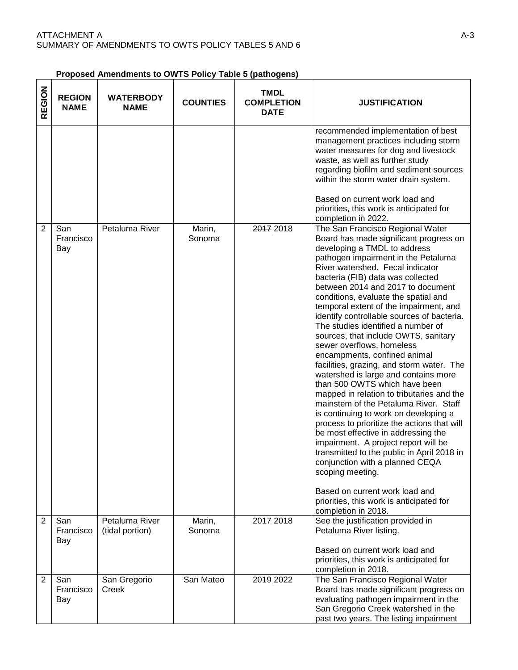**Proposed Amendments to OWTS Policy Table 5 (pathogens)** 

| REGION         | <b>REGION</b><br><b>NAME</b> | <b>WATERBODY</b><br><b>NAME</b>   | <b>COUNTIES</b>  | <b>TMDL</b><br><b>COMPLETION</b><br><b>DATE</b> | <b>JUSTIFICATION</b>                                                                                                                                                                                                                                                                                                                                                                                                                                                                                                                                                                                                                                                                                                                                                                                                                                                                                                                                                                                                                                                                                                                    |
|----------------|------------------------------|-----------------------------------|------------------|-------------------------------------------------|-----------------------------------------------------------------------------------------------------------------------------------------------------------------------------------------------------------------------------------------------------------------------------------------------------------------------------------------------------------------------------------------------------------------------------------------------------------------------------------------------------------------------------------------------------------------------------------------------------------------------------------------------------------------------------------------------------------------------------------------------------------------------------------------------------------------------------------------------------------------------------------------------------------------------------------------------------------------------------------------------------------------------------------------------------------------------------------------------------------------------------------------|
|                |                              |                                   |                  |                                                 | recommended implementation of best<br>management practices including storm<br>water measures for dog and livestock<br>waste, as well as further study<br>regarding biofilm and sediment sources<br>within the storm water drain system.<br>Based on current work load and<br>priorities, this work is anticipated for<br>completion in 2022.                                                                                                                                                                                                                                                                                                                                                                                                                                                                                                                                                                                                                                                                                                                                                                                            |
| $\overline{2}$ | San<br>Francisco<br>Bay      | Petaluma River                    | Marin,<br>Sonoma | 2017 2018                                       | The San Francisco Regional Water<br>Board has made significant progress on<br>developing a TMDL to address<br>pathogen impairment in the Petaluma<br>River watershed. Fecal indicator<br>bacteria (FIB) data was collected<br>between 2014 and 2017 to document<br>conditions, evaluate the spatial and<br>temporal extent of the impairment, and<br>identify controllable sources of bacteria.<br>The studies identified a number of<br>sources, that include OWTS, sanitary<br>sewer overflows, homeless<br>encampments, confined animal<br>facilities, grazing, and storm water. The<br>watershed is large and contains more<br>than 500 OWTS which have been<br>mapped in relation to tributaries and the<br>mainstem of the Petaluma River. Staff<br>is continuing to work on developing a<br>process to prioritize the actions that will<br>be most effective in addressing the<br>impairment. A project report will be<br>transmitted to the public in April 2018 in<br>conjunction with a planned CEQA<br>scoping meeting.<br>Based on current work load and<br>priorities, this work is anticipated for<br>completion in 2018. |
| $\overline{2}$ | San<br>Francisco<br>Bay      | Petaluma River<br>(tidal portion) | Marin,<br>Sonoma | 2017 2018                                       | See the justification provided in<br>Petaluma River listing.<br>Based on current work load and<br>priorities, this work is anticipated for                                                                                                                                                                                                                                                                                                                                                                                                                                                                                                                                                                                                                                                                                                                                                                                                                                                                                                                                                                                              |
| $\overline{2}$ | San<br>Francisco<br>Bay      | San Gregorio<br>Creek             | San Mateo        | 2019 2022                                       | completion in 2018.<br>The San Francisco Regional Water<br>Board has made significant progress on<br>evaluating pathogen impairment in the<br>San Gregorio Creek watershed in the<br>past two years. The listing impairment                                                                                                                                                                                                                                                                                                                                                                                                                                                                                                                                                                                                                                                                                                                                                                                                                                                                                                             |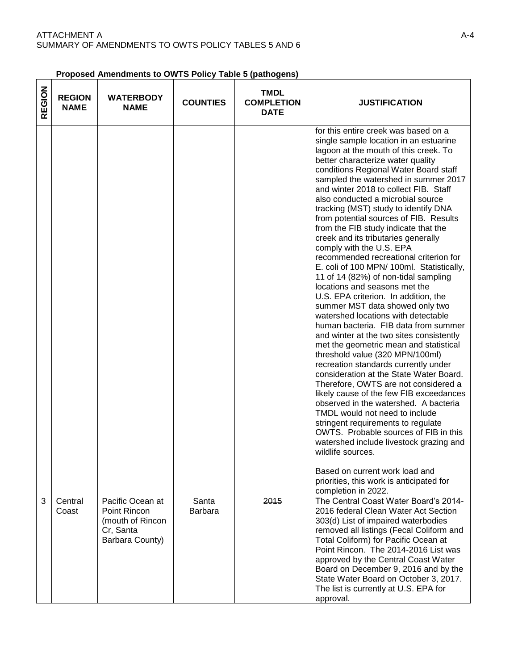| Proposed Amendments to OWTS Policy Table 5 (pathogens) |  |  |
|--------------------------------------------------------|--|--|
|                                                        |  |  |

| REGION | <b>REGION</b><br><b>NAME</b> | <b>WATERBODY</b><br><b>NAME</b>                                                      | <b>COUNTIES</b>         | TMDL<br><b>COMPLETION</b><br><b>DATE</b> | <b>JUSTIFICATION</b>                                                                                                                                                                                                                                                                                                                                                                                                                                                                                                                                                                                                                                                                                                                                                                                                                                                                                                                                                                                                                                                                                                                                                                                                                                                                                                                                                                                                                                                             |
|--------|------------------------------|--------------------------------------------------------------------------------------|-------------------------|------------------------------------------|----------------------------------------------------------------------------------------------------------------------------------------------------------------------------------------------------------------------------------------------------------------------------------------------------------------------------------------------------------------------------------------------------------------------------------------------------------------------------------------------------------------------------------------------------------------------------------------------------------------------------------------------------------------------------------------------------------------------------------------------------------------------------------------------------------------------------------------------------------------------------------------------------------------------------------------------------------------------------------------------------------------------------------------------------------------------------------------------------------------------------------------------------------------------------------------------------------------------------------------------------------------------------------------------------------------------------------------------------------------------------------------------------------------------------------------------------------------------------------|
|        |                              |                                                                                      |                         |                                          | for this entire creek was based on a<br>single sample location in an estuarine<br>lagoon at the mouth of this creek. To<br>better characterize water quality<br>conditions Regional Water Board staff<br>sampled the watershed in summer 2017<br>and winter 2018 to collect FIB. Staff<br>also conducted a microbial source<br>tracking (MST) study to identify DNA<br>from potential sources of FIB. Results<br>from the FIB study indicate that the<br>creek and its tributaries generally<br>comply with the U.S. EPA<br>recommended recreational criterion for<br>E. coli of 100 MPN/ 100ml. Statistically,<br>11 of 14 (82%) of non-tidal sampling<br>locations and seasons met the<br>U.S. EPA criterion. In addition, the<br>summer MST data showed only two<br>watershed locations with detectable<br>human bacteria. FIB data from summer<br>and winter at the two sites consistently<br>met the geometric mean and statistical<br>threshold value (320 MPN/100ml)<br>recreation standards currently under<br>consideration at the State Water Board.<br>Therefore, OWTS are not considered a<br>likely cause of the few FIB exceedances<br>observed in the watershed. A bacteria<br>TMDL would not need to include<br>stringent requirements to regulate<br>OWTS. Probable sources of FIB in this<br>watershed include livestock grazing and<br>wildlife sources.<br>Based on current work load and<br>priorities, this work is anticipated for<br>completion in 2022. |
| 3      | Central<br>Coast             | Pacific Ocean at<br>Point Rincon<br>(mouth of Rincon<br>Cr, Santa<br>Barbara County) | Santa<br><b>Barbara</b> | 2015                                     | The Central Coast Water Board's 2014-<br>2016 federal Clean Water Act Section<br>303(d) List of impaired waterbodies<br>removed all listings (Fecal Coliform and<br>Total Coliform) for Pacific Ocean at<br>Point Rincon. The 2014-2016 List was<br>approved by the Central Coast Water<br>Board on December 9, 2016 and by the<br>State Water Board on October 3, 2017.<br>The list is currently at U.S. EPA for<br>approval.                                                                                                                                                                                                                                                                                                                                                                                                                                                                                                                                                                                                                                                                                                                                                                                                                                                                                                                                                                                                                                                   |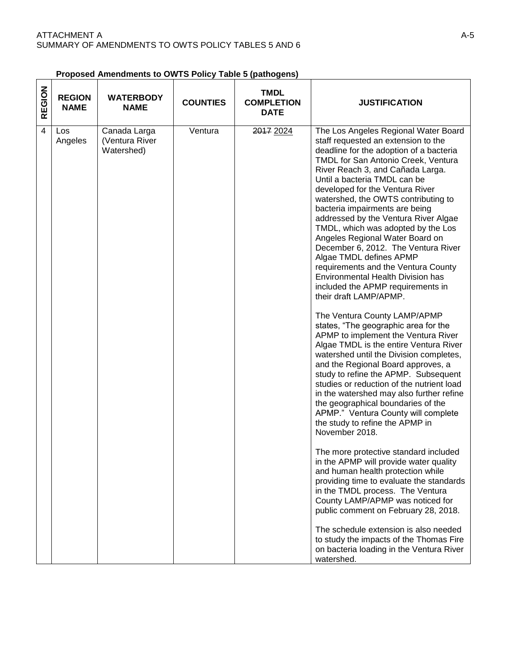| Proposed Amendments to OWTS Policy Table 5 (pathogens) |  |
|--------------------------------------------------------|--|
|                                                        |  |

|               |                              |                                              |                 | Proposed Amendments to OWTS Policy Table 5 (pathogens) |                                                                                                                                                                                                                                                                                                                                                                                                                                                                                                                                                                                                                                                                                                                                                                                                                                                                                                                                                                                                                                                                                                                                                                                                                                                                                                                                                                                                                                                                                                                                                                                                                                   |
|---------------|------------------------------|----------------------------------------------|-----------------|--------------------------------------------------------|-----------------------------------------------------------------------------------------------------------------------------------------------------------------------------------------------------------------------------------------------------------------------------------------------------------------------------------------------------------------------------------------------------------------------------------------------------------------------------------------------------------------------------------------------------------------------------------------------------------------------------------------------------------------------------------------------------------------------------------------------------------------------------------------------------------------------------------------------------------------------------------------------------------------------------------------------------------------------------------------------------------------------------------------------------------------------------------------------------------------------------------------------------------------------------------------------------------------------------------------------------------------------------------------------------------------------------------------------------------------------------------------------------------------------------------------------------------------------------------------------------------------------------------------------------------------------------------------------------------------------------------|
| <b>REGION</b> | <b>REGION</b><br><b>NAME</b> | <b>WATERBODY</b><br><b>NAME</b>              | <b>COUNTIES</b> | <b>TMDL</b><br><b>COMPLETION</b><br><b>DATE</b>        | <b>JUSTIFICATION</b>                                                                                                                                                                                                                                                                                                                                                                                                                                                                                                                                                                                                                                                                                                                                                                                                                                                                                                                                                                                                                                                                                                                                                                                                                                                                                                                                                                                                                                                                                                                                                                                                              |
| 4             | Los<br>Angeles               | Canada Larga<br>(Ventura River<br>Watershed) | Ventura         | 2017 2024                                              | The Los Angeles Regional Water Board<br>staff requested an extension to the<br>deadline for the adoption of a bacteria<br>TMDL for San Antonio Creek, Ventura<br>River Reach 3, and Cañada Larga.<br>Until a bacteria TMDL can be<br>developed for the Ventura River<br>watershed, the OWTS contributing to<br>bacteria impairments are being<br>addressed by the Ventura River Algae<br>TMDL, which was adopted by the Los<br>Angeles Regional Water Board on<br>December 6, 2012. The Ventura River<br>Algae TMDL defines APMP<br>requirements and the Ventura County<br><b>Environmental Health Division has</b><br>included the APMP requirements in<br>their draft LAMP/APMP.<br>The Ventura County LAMP/APMP<br>states, "The geographic area for the<br>APMP to implement the Ventura River<br>Algae TMDL is the entire Ventura River<br>watershed until the Division completes,<br>and the Regional Board approves, a<br>study to refine the APMP. Subsequent<br>studies or reduction of the nutrient load<br>in the watershed may also further refine<br>the geographical boundaries of the<br>APMP." Ventura County will complete<br>the study to refine the APMP in<br>November 2018.<br>The more protective standard included<br>in the APMP will provide water quality<br>and human health protection while<br>providing time to evaluate the standards<br>in the TMDL process. The Ventura<br>County LAMP/APMP was noticed for<br>public comment on February 28, 2018.<br>The schedule extension is also needed<br>to study the impacts of the Thomas Fire<br>on bacteria loading in the Ventura River<br>watershed. |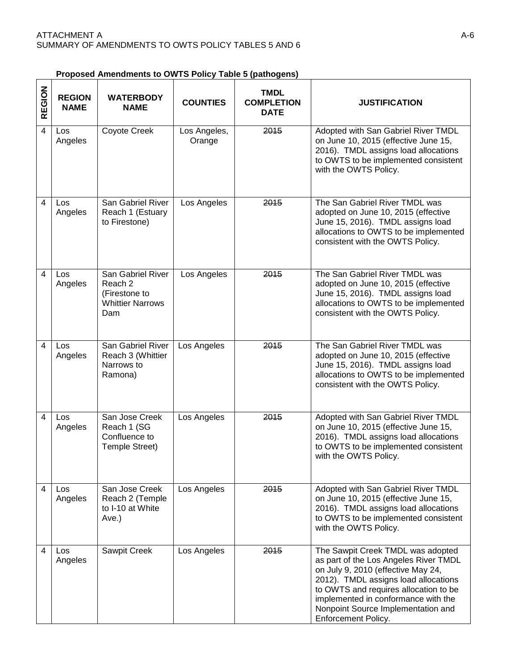| REGION         | <b>REGION</b><br><b>NAME</b> | <b>WATERBODY</b><br><b>NAME</b>                                                 | <b>COUNTIES</b>        | <b>TMDL</b><br><b>COMPLETION</b><br><b>DATE</b> | <b>JUSTIFICATION</b>                                                                                                                                                                                                                                                                                  |
|----------------|------------------------------|---------------------------------------------------------------------------------|------------------------|-------------------------------------------------|-------------------------------------------------------------------------------------------------------------------------------------------------------------------------------------------------------------------------------------------------------------------------------------------------------|
| $\overline{4}$ | <b>Los</b><br>Angeles        | Coyote Creek                                                                    | Los Angeles,<br>Orange | 2015                                            | Adopted with San Gabriel River TMDL<br>on June 10, 2015 (effective June 15,<br>2016). TMDL assigns load allocations<br>to OWTS to be implemented consistent<br>with the OWTS Policy.                                                                                                                  |
| $\overline{4}$ | Los<br>Angeles               | San Gabriel River<br>Reach 1 (Estuary<br>to Firestone)                          | Los Angeles            | 2015                                            | The San Gabriel River TMDL was<br>adopted on June 10, 2015 (effective<br>June 15, 2016). TMDL assigns load<br>allocations to OWTS to be implemented<br>consistent with the OWTS Policy.                                                                                                               |
| 4              | Los<br>Angeles               | San Gabriel River<br>Reach 2<br>(Firestone to<br><b>Whittier Narrows</b><br>Dam | Los Angeles            | 2015                                            | The San Gabriel River TMDL was<br>adopted on June 10, 2015 (effective<br>June 15, 2016). TMDL assigns load<br>allocations to OWTS to be implemented<br>consistent with the OWTS Policy.                                                                                                               |
| $\overline{4}$ | Los<br>Angeles               | San Gabriel River<br>Reach 3 (Whittier<br>Narrows to<br>Ramona)                 | Los Angeles            | 2015                                            | The San Gabriel River TMDL was<br>adopted on June 10, 2015 (effective<br>June 15, 2016). TMDL assigns load<br>allocations to OWTS to be implemented<br>consistent with the OWTS Policy.                                                                                                               |
| 4              | Los<br>Angeles               | San Jose Creek<br>Reach 1 (SG<br>Confluence to<br>Temple Street)                | Los Angeles            | 2015                                            | Adopted with San Gabriel River TMDL<br>on June 10, 2015 (effective June 15,<br>2016). TMDL assigns load allocations<br>to OWTS to be implemented consistent<br>with the OWTS Policy.                                                                                                                  |
| 4              | Los<br>Angeles               | San Jose Creek<br>Reach 2 (Temple<br>to I-10 at White<br>Ave.)                  | Los Angeles            | 2015                                            | Adopted with San Gabriel River TMDL<br>on June 10, 2015 (effective June 15,<br>2016). TMDL assigns load allocations<br>to OWTS to be implemented consistent<br>with the OWTS Policy.                                                                                                                  |
| 4              | Los<br>Angeles               | Sawpit Creek                                                                    | Los Angeles            | 2015                                            | The Sawpit Creek TMDL was adopted<br>as part of the Los Angeles River TMDL<br>on July 9, 2010 (effective May 24,<br>2012). TMDL assigns load allocations<br>to OWTS and requires allocation to be<br>implemented in conformance with the<br>Nonpoint Source Implementation and<br>Enforcement Policy. |

| Proposed Amendments to OWTS Policy Table 5 (pathogens) |  |  |  |  |  |  |
|--------------------------------------------------------|--|--|--|--|--|--|
|                                                        |  |  |  |  |  |  |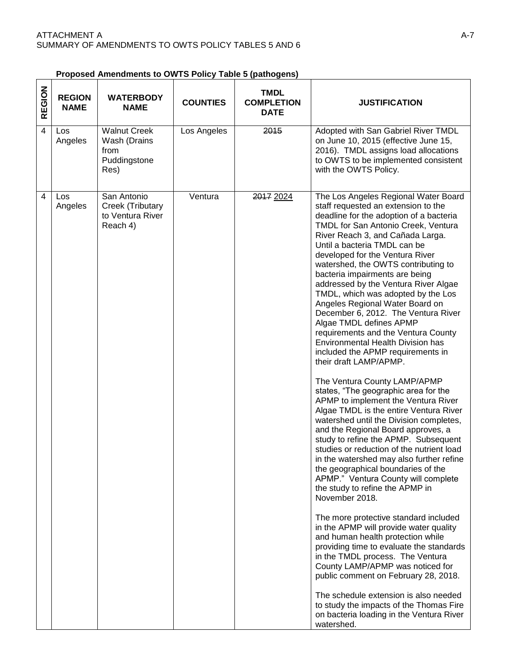| REGION         | <b>REGION</b><br><b>NAME</b> | <b>WATERBODY</b><br><b>NAME</b>                                     | <b>COUNTIES</b> | <b>TMDL</b><br><b>COMPLETION</b><br><b>DATE</b> | <b>JUSTIFICATION</b>                                                                                                                                                                                                                                                                                                                                                                                                                                                                                                                                                                                                                                                                                                                                                                                                                                                                                                                                                                                                                                                                                                                                                                                                                                                                                                                                                                                                                                                                |
|----------------|------------------------------|---------------------------------------------------------------------|-----------------|-------------------------------------------------|-------------------------------------------------------------------------------------------------------------------------------------------------------------------------------------------------------------------------------------------------------------------------------------------------------------------------------------------------------------------------------------------------------------------------------------------------------------------------------------------------------------------------------------------------------------------------------------------------------------------------------------------------------------------------------------------------------------------------------------------------------------------------------------------------------------------------------------------------------------------------------------------------------------------------------------------------------------------------------------------------------------------------------------------------------------------------------------------------------------------------------------------------------------------------------------------------------------------------------------------------------------------------------------------------------------------------------------------------------------------------------------------------------------------------------------------------------------------------------------|
| $\overline{4}$ | Los<br>Angeles               | <b>Walnut Creek</b><br>Wash (Drains<br>from<br>Puddingstone<br>Res) | Los Angeles     | 2015                                            | Adopted with San Gabriel River TMDL<br>on June 10, 2015 (effective June 15,<br>2016). TMDL assigns load allocations<br>to OWTS to be implemented consistent<br>with the OWTS Policy.                                                                                                                                                                                                                                                                                                                                                                                                                                                                                                                                                                                                                                                                                                                                                                                                                                                                                                                                                                                                                                                                                                                                                                                                                                                                                                |
| $\overline{4}$ | Los<br>Angeles               | San Antonio<br>Creek (Tributary<br>to Ventura River<br>Reach 4)     | Ventura         | 2017 2024                                       | The Los Angeles Regional Water Board<br>staff requested an extension to the<br>deadline for the adoption of a bacteria<br>TMDL for San Antonio Creek, Ventura<br>River Reach 3, and Cañada Larga.<br>Until a bacteria TMDL can be<br>developed for the Ventura River<br>watershed, the OWTS contributing to<br>bacteria impairments are being<br>addressed by the Ventura River Algae<br>TMDL, which was adopted by the Los<br>Angeles Regional Water Board on<br>December 6, 2012. The Ventura River<br>Algae TMDL defines APMP<br>requirements and the Ventura County<br><b>Environmental Health Division has</b><br>included the APMP requirements in<br>their draft LAMP/APMP.<br>The Ventura County LAMP/APMP<br>states, "The geographic area for the<br>APMP to implement the Ventura River<br>Algae TMDL is the entire Ventura River<br>watershed until the Division completes,<br>and the Regional Board approves, a<br>study to refine the APMP. Subsequent<br>studies or reduction of the nutrient load<br>in the watershed may also further refine<br>the geographical boundaries of the<br>APMP." Ventura County will complete<br>the study to refine the APMP in<br>November 2018.<br>The more protective standard included<br>in the APMP will provide water quality<br>and human health protection while<br>providing time to evaluate the standards<br>in the TMDL process. The Ventura<br>County LAMP/APMP was noticed for<br>public comment on February 28, 2018. |

**Proposed Amendments to OWTS Policy Table 5 (pathogens)** 

The schedule extension is also needed to study the impacts of the Thomas Fire on bacteria loading in the Ventura River watershed.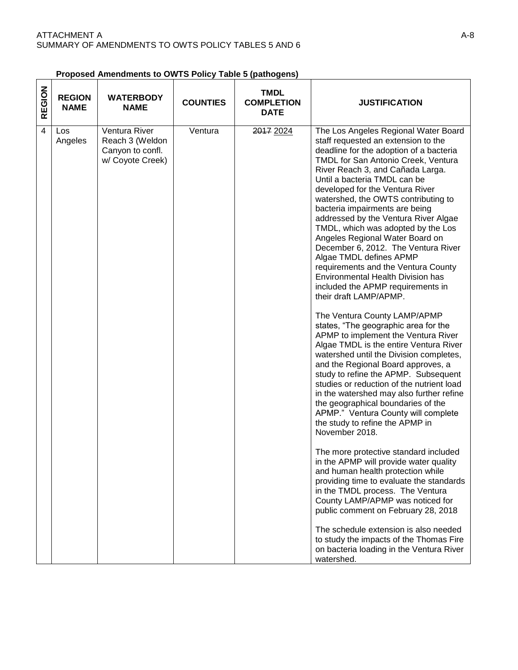| <b>Proposed Amendments to OWTS Policy Table 5 (pathogens)</b> |  |
|---------------------------------------------------------------|--|
|                                                               |  |

| REGION | <b>REGION</b><br><b>NAME</b> | <b>WATERBODY</b><br><b>NAME</b>                                          | <b>COUNTIES</b> | <b>TMDL</b><br><b>COMPLETION</b><br><b>DATE</b> | <b>JUSTIFICATION</b>                                                                                                                                                                                                                                                                                                                                                                                                                                                                                                                                                                                                                                                                                                                                                                                                                                                                                                                                                                                                                                                                                                                                                                                                                                                                                                                                                                                                                                                                                                                                                   |
|--------|------------------------------|--------------------------------------------------------------------------|-----------------|-------------------------------------------------|------------------------------------------------------------------------------------------------------------------------------------------------------------------------------------------------------------------------------------------------------------------------------------------------------------------------------------------------------------------------------------------------------------------------------------------------------------------------------------------------------------------------------------------------------------------------------------------------------------------------------------------------------------------------------------------------------------------------------------------------------------------------------------------------------------------------------------------------------------------------------------------------------------------------------------------------------------------------------------------------------------------------------------------------------------------------------------------------------------------------------------------------------------------------------------------------------------------------------------------------------------------------------------------------------------------------------------------------------------------------------------------------------------------------------------------------------------------------------------------------------------------------------------------------------------------------|
| 4      | Los<br>Angeles               | Ventura River<br>Reach 3 (Weldon<br>Canyon to confl.<br>w/ Coyote Creek) | Ventura         | 2017 2024                                       | The Los Angeles Regional Water Board<br>staff requested an extension to the<br>deadline for the adoption of a bacteria<br>TMDL for San Antonio Creek, Ventura<br>River Reach 3, and Cañada Larga.<br>Until a bacteria TMDL can be<br>developed for the Ventura River<br>watershed, the OWTS contributing to<br>bacteria impairments are being<br>addressed by the Ventura River Algae<br>TMDL, which was adopted by the Los<br>Angeles Regional Water Board on<br>December 6, 2012. The Ventura River<br>Algae TMDL defines APMP<br>requirements and the Ventura County<br><b>Environmental Health Division has</b><br>included the APMP requirements in<br>their draft LAMP/APMP.<br>The Ventura County LAMP/APMP<br>states, "The geographic area for the<br>APMP to implement the Ventura River<br>Algae TMDL is the entire Ventura River<br>watershed until the Division completes,<br>and the Regional Board approves, a<br>study to refine the APMP. Subsequent<br>studies or reduction of the nutrient load<br>in the watershed may also further refine<br>the geographical boundaries of the<br>APMP." Ventura County will complete<br>the study to refine the APMP in<br>November 2018.<br>The more protective standard included<br>in the APMP will provide water quality<br>and human health protection while<br>providing time to evaluate the standards<br>in the TMDL process. The Ventura<br>County LAMP/APMP was noticed for<br>public comment on February 28, 2018<br>The schedule extension is also needed<br>to study the impacts of the Thomas Fire |
|        |                              |                                                                          |                 |                                                 | on bacteria loading in the Ventura River<br>watershed.                                                                                                                                                                                                                                                                                                                                                                                                                                                                                                                                                                                                                                                                                                                                                                                                                                                                                                                                                                                                                                                                                                                                                                                                                                                                                                                                                                                                                                                                                                                 |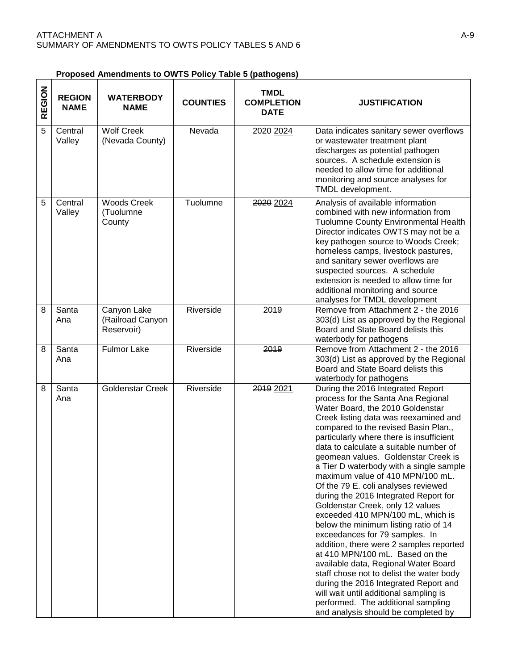| REGION         | <b>REGION</b><br><b>NAME</b> | <b>WATERBODY</b><br><b>NAME</b>               | <b>COUNTIES</b> | <b>TMDL</b><br><b>COMPLETION</b><br><b>DATE</b> | <b>JUSTIFICATION</b>                                                                                                                                                                                                                                                                                                                                                                                                                                                                                                                                                                                                                                                                                                                                                                                                                                                                                                                                                           |
|----------------|------------------------------|-----------------------------------------------|-----------------|-------------------------------------------------|--------------------------------------------------------------------------------------------------------------------------------------------------------------------------------------------------------------------------------------------------------------------------------------------------------------------------------------------------------------------------------------------------------------------------------------------------------------------------------------------------------------------------------------------------------------------------------------------------------------------------------------------------------------------------------------------------------------------------------------------------------------------------------------------------------------------------------------------------------------------------------------------------------------------------------------------------------------------------------|
| $\overline{5}$ | Central<br>Valley            | <b>Wolf Creek</b><br>(Nevada County)          | Nevada          | 2020 2024                                       | Data indicates sanitary sewer overflows<br>or wastewater treatment plant<br>discharges as potential pathogen<br>sources. A schedule extension is<br>needed to allow time for additional<br>monitoring and source analyses for<br>TMDL development.                                                                                                                                                                                                                                                                                                                                                                                                                                                                                                                                                                                                                                                                                                                             |
| 5              | Central<br>Valley            | <b>Woods Creek</b><br>(Tuolumne<br>County     | Tuolumne        | 2020 2024                                       | Analysis of available information<br>combined with new information from<br><b>Tuolumne County Environmental Health</b><br>Director indicates OWTS may not be a<br>key pathogen source to Woods Creek;<br>homeless camps, livestock pastures,<br>and sanitary sewer overflows are<br>suspected sources. A schedule<br>extension is needed to allow time for<br>additional monitoring and source<br>analyses for TMDL development                                                                                                                                                                                                                                                                                                                                                                                                                                                                                                                                                |
| 8              | Santa<br>Ana                 | Canyon Lake<br>(Railroad Canyon<br>Reservoir) | Riverside       | 2019                                            | Remove from Attachment 2 - the 2016<br>303(d) List as approved by the Regional<br>Board and State Board delists this<br>waterbody for pathogens                                                                                                                                                                                                                                                                                                                                                                                                                                                                                                                                                                                                                                                                                                                                                                                                                                |
| 8              | Santa<br>Ana                 | <b>Fulmor Lake</b>                            | Riverside       | 2019                                            | Remove from Attachment 2 - the 2016<br>303(d) List as approved by the Regional<br>Board and State Board delists this<br>waterbody for pathogens                                                                                                                                                                                                                                                                                                                                                                                                                                                                                                                                                                                                                                                                                                                                                                                                                                |
| 8              | Santa<br>Ana                 | <b>Goldenstar Creek</b>                       | Riverside       | 2019 2021                                       | During the 2016 Integrated Report<br>process for the Santa Ana Regional<br>Water Board, the 2010 Goldenstar<br>Creek listing data was reexamined and<br>compared to the revised Basin Plan.,<br>particularly where there is insufficient<br>data to calculate a suitable number of<br>geomean values. Goldenstar Creek is<br>a Tier D waterbody with a single sample<br>maximum value of 410 MPN/100 mL.<br>Of the 79 E. coli analyses reviewed<br>during the 2016 Integrated Report for<br>Goldenstar Creek, only 12 values<br>exceeded 410 MPN/100 mL, which is<br>below the minimum listing ratio of 14<br>exceedances for 79 samples. In<br>addition, there were 2 samples reported<br>at 410 MPN/100 mL. Based on the<br>available data, Regional Water Board<br>staff chose not to delist the water body<br>during the 2016 Integrated Report and<br>will wait until additional sampling is<br>performed. The additional sampling<br>and analysis should be completed by |

**Proposed Amendments to OWTS Policy Table 5 (pathogens)** 

٦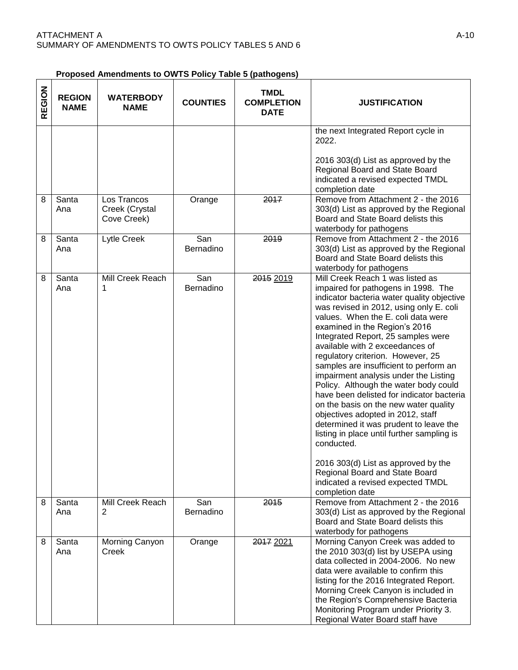**Proposed Amendments to OWTS Policy Table 5 (pathogens)** 

| REGION | <b>REGION</b><br><b>NAME</b> | <b>WATERBODY</b><br><b>NAME</b>              | <b>COUNTIES</b>  | <b>TMDL</b><br><b>COMPLETION</b><br><b>DATE</b> | <b>JUSTIFICATION</b>                                                                                                                                                                                                                                                                                                                                                                                                                                                                                                                                                                                                                                                                                                                                                                                                                                |
|--------|------------------------------|----------------------------------------------|------------------|-------------------------------------------------|-----------------------------------------------------------------------------------------------------------------------------------------------------------------------------------------------------------------------------------------------------------------------------------------------------------------------------------------------------------------------------------------------------------------------------------------------------------------------------------------------------------------------------------------------------------------------------------------------------------------------------------------------------------------------------------------------------------------------------------------------------------------------------------------------------------------------------------------------------|
|        |                              |                                              |                  |                                                 | the next Integrated Report cycle in<br>2022.<br>2016 303(d) List as approved by the<br>Regional Board and State Board<br>indicated a revised expected TMDL<br>completion date                                                                                                                                                                                                                                                                                                                                                                                                                                                                                                                                                                                                                                                                       |
| 8      | Santa<br>Ana                 | Los Trancos<br>Creek (Crystal<br>Cove Creek) | Orange           | 2017                                            | Remove from Attachment 2 - the 2016<br>303(d) List as approved by the Regional<br>Board and State Board delists this<br>waterbody for pathogens                                                                                                                                                                                                                                                                                                                                                                                                                                                                                                                                                                                                                                                                                                     |
| 8      | Santa<br>Ana                 | Lytle Creek                                  | San<br>Bernadino | 2019                                            | Remove from Attachment 2 - the 2016<br>303(d) List as approved by the Regional<br>Board and State Board delists this<br>waterbody for pathogens                                                                                                                                                                                                                                                                                                                                                                                                                                                                                                                                                                                                                                                                                                     |
| 8      | Santa<br>Ana                 | Mill Creek Reach<br>1                        | San<br>Bernadino | 2015 2019                                       | Mill Creek Reach 1 was listed as<br>impaired for pathogens in 1998. The<br>indicator bacteria water quality objective<br>was revised in 2012, using only E. coli<br>values. When the E. coli data were<br>examined in the Region's 2016<br>Integrated Report, 25 samples were<br>available with 2 exceedances of<br>regulatory criterion. However, 25<br>samples are insufficient to perform an<br>impairment analysis under the Listing<br>Policy. Although the water body could<br>have been delisted for indicator bacteria<br>on the basis on the new water quality<br>objectives adopted in 2012, staff<br>determined it was prudent to leave the<br>listing in place until further sampling is<br>conducted.<br>2016 303(d) List as approved by the<br>Regional Board and State Board<br>indicated a revised expected TMDL<br>completion date |
| 8      | Santa<br>Ana                 | Mill Creek Reach<br>$\overline{2}$           | San<br>Bernadino | 2015                                            | Remove from Attachment 2 - the 2016<br>303(d) List as approved by the Regional<br>Board and State Board delists this<br>waterbody for pathogens                                                                                                                                                                                                                                                                                                                                                                                                                                                                                                                                                                                                                                                                                                     |
| 8      | Santa<br>Ana                 | Morning Canyon<br>Creek                      | Orange           | 2017 2021                                       | Morning Canyon Creek was added to<br>the 2010 303(d) list by USEPA using<br>data collected in 2004-2006. No new<br>data were available to confirm this<br>listing for the 2016 Integrated Report.<br>Morning Creek Canyon is included in<br>the Region's Comprehensive Bacteria<br>Monitoring Program under Priority 3.<br>Regional Water Board staff have                                                                                                                                                                                                                                                                                                                                                                                                                                                                                          |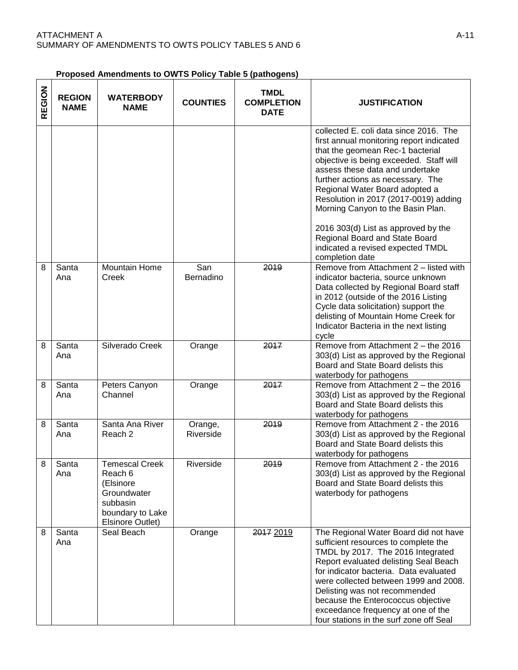| REGION | <b>REGION</b><br><b>NAME</b> | <b>WATERBODY</b><br><b>NAME</b>                                                                                         | <b>COUNTIES</b>      | <b>TMDL</b><br><b>COMPLETION</b><br><b>DATE</b> | <b>JUSTIFICATION</b>                                                                                                                                                                                                                                                                                                                                                                                                                                                                       |
|--------|------------------------------|-------------------------------------------------------------------------------------------------------------------------|----------------------|-------------------------------------------------|--------------------------------------------------------------------------------------------------------------------------------------------------------------------------------------------------------------------------------------------------------------------------------------------------------------------------------------------------------------------------------------------------------------------------------------------------------------------------------------------|
|        |                              |                                                                                                                         |                      |                                                 | collected E. coli data since 2016. The<br>first annual monitoring report indicated<br>that the geomean Rec-1 bacterial<br>objective is being exceeded. Staff will<br>assess these data and undertake<br>further actions as necessary. The<br>Regional Water Board adopted a<br>Resolution in 2017 (2017-0019) adding<br>Morning Canyon to the Basin Plan.<br>2016 303(d) List as approved by the<br>Regional Board and State Board<br>indicated a revised expected TMDL<br>completion date |
| 8      | Santa<br>Ana                 | <b>Mountain Home</b><br>Creek                                                                                           | San<br>Bernadino     | 2019                                            | Remove from Attachment 2 - listed with<br>indicator bacteria, source unknown<br>Data collected by Regional Board staff<br>in 2012 (outside of the 2016 Listing<br>Cycle data solicitation) support the<br>delisting of Mountain Home Creek for<br>Indicator Bacteria in the next listing<br>cycle                                                                                                                                                                                          |
| 8      | Santa<br>Ana                 | Silverado Creek                                                                                                         | Orange               | 2017                                            | Remove from Attachment 2 - the 2016<br>303(d) List as approved by the Regional<br>Board and State Board delists this<br>waterbody for pathogens                                                                                                                                                                                                                                                                                                                                            |
| 8      | Santa<br>Ana                 | Peters Canyon<br>Channel                                                                                                | Orange               | 2017                                            | Remove from Attachment 2 - the 2016<br>303(d) List as approved by the Regional<br>Board and State Board delists this<br>waterbody for pathogens                                                                                                                                                                                                                                                                                                                                            |
| 8      | Santa<br>Ana                 | Santa Ana River<br>Reach <sub>2</sub>                                                                                   | Orange,<br>Riverside | 2019                                            | Remove from Attachment 2 - the 2016<br>303(d) List as approved by the Regional<br>Board and State Board delists this<br>waterbody for pathogens                                                                                                                                                                                                                                                                                                                                            |
| 8      | Santa<br>Ana                 | <b>Temescal Creek</b><br>Reach 6<br>(Elsinore<br>Groundwater<br>subbasin<br>boundary to Lake<br><b>Elsinore Outlet)</b> | Riverside            | 2019                                            | Remove from Attachment 2 - the 2016<br>303(d) List as approved by the Regional<br>Board and State Board delists this<br>waterbody for pathogens                                                                                                                                                                                                                                                                                                                                            |
| 8      | Santa<br>Ana                 | Seal Beach                                                                                                              | Orange               | 2017 2019                                       | The Regional Water Board did not have<br>sufficient resources to complete the<br>TMDL by 2017. The 2016 Integrated<br>Report evaluated delisting Seal Beach<br>for indicator bacteria. Data evaluated<br>were collected between 1999 and 2008.<br>Delisting was not recommended<br>because the Enterococcus objective<br>exceedance frequency at one of the<br>four stations in the surf zone off Seal                                                                                     |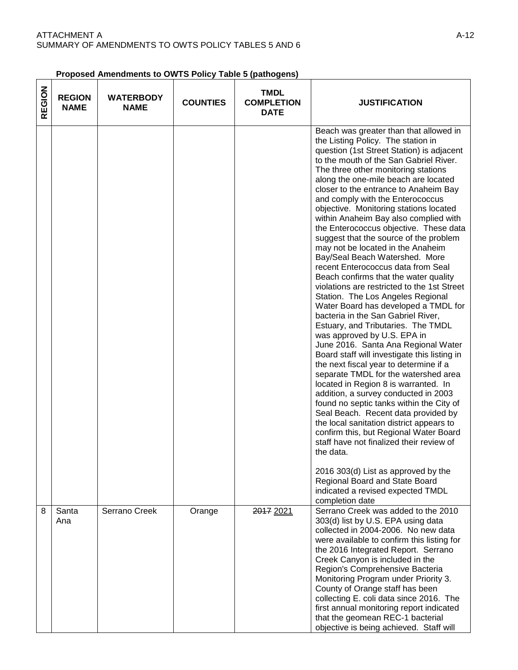**Proposed Amendments to OWTS Policy Table 5 (pathogens)** 

| REGION | <b>REGION</b><br><b>NAME</b> | <b>WATERBODY</b><br><b>NAME</b> | <b>COUNTIES</b> | <b>TMDL</b><br><b>COMPLETION</b><br><b>DATE</b> | <b>JUSTIFICATION</b>                                                                                                                                                                                                                                                                                                                                                                                                                                                                                                                                                                                                                                                                                                                                                                                                                                                                                                                                                                                                                                                                                                                                                                                                                                                                                                                                                                                                                                                                                         |
|--------|------------------------------|---------------------------------|-----------------|-------------------------------------------------|--------------------------------------------------------------------------------------------------------------------------------------------------------------------------------------------------------------------------------------------------------------------------------------------------------------------------------------------------------------------------------------------------------------------------------------------------------------------------------------------------------------------------------------------------------------------------------------------------------------------------------------------------------------------------------------------------------------------------------------------------------------------------------------------------------------------------------------------------------------------------------------------------------------------------------------------------------------------------------------------------------------------------------------------------------------------------------------------------------------------------------------------------------------------------------------------------------------------------------------------------------------------------------------------------------------------------------------------------------------------------------------------------------------------------------------------------------------------------------------------------------------|
|        |                              |                                 |                 |                                                 | Beach was greater than that allowed in<br>the Listing Policy. The station in<br>question (1st Street Station) is adjacent<br>to the mouth of the San Gabriel River.<br>The three other monitoring stations<br>along the one-mile beach are located<br>closer to the entrance to Anaheim Bay<br>and comply with the Enterococcus<br>objective. Monitoring stations located<br>within Anaheim Bay also complied with<br>the Enterococcus objective. These data<br>suggest that the source of the problem<br>may not be located in the Anaheim<br>Bay/Seal Beach Watershed. More<br>recent Enterococcus data from Seal<br>Beach confirms that the water quality<br>violations are restricted to the 1st Street<br>Station. The Los Angeles Regional<br>Water Board has developed a TMDL for<br>bacteria in the San Gabriel River,<br>Estuary, and Tributaries. The TMDL<br>was approved by U.S. EPA in<br>June 2016. Santa Ana Regional Water<br>Board staff will investigate this listing in<br>the next fiscal year to determine if a<br>separate TMDL for the watershed area<br>located in Region 8 is warranted. In<br>addition, a survey conducted in 2003<br>found no septic tanks within the City of<br>Seal Beach. Recent data provided by<br>the local sanitation district appears to<br>confirm this, but Regional Water Board<br>staff have not finalized their review of<br>the data.<br>2016 303(d) List as approved by the<br>Regional Board and State Board<br>indicated a revised expected TMDL |
| 8      | Santa<br>Ana                 | Serrano Creek                   | Orange          | 2017 2021                                       | completion date<br>Serrano Creek was added to the 2010<br>303(d) list by U.S. EPA using data<br>collected in 2004-2006. No new data<br>were available to confirm this listing for<br>the 2016 Integrated Report. Serrano<br>Creek Canyon is included in the<br>Region's Comprehensive Bacteria<br>Monitoring Program under Priority 3.<br>County of Orange staff has been<br>collecting E. coli data since 2016. The<br>first annual monitoring report indicated<br>that the geomean REC-1 bacterial<br>objective is being achieved. Staff will                                                                                                                                                                                                                                                                                                                                                                                                                                                                                                                                                                                                                                                                                                                                                                                                                                                                                                                                                              |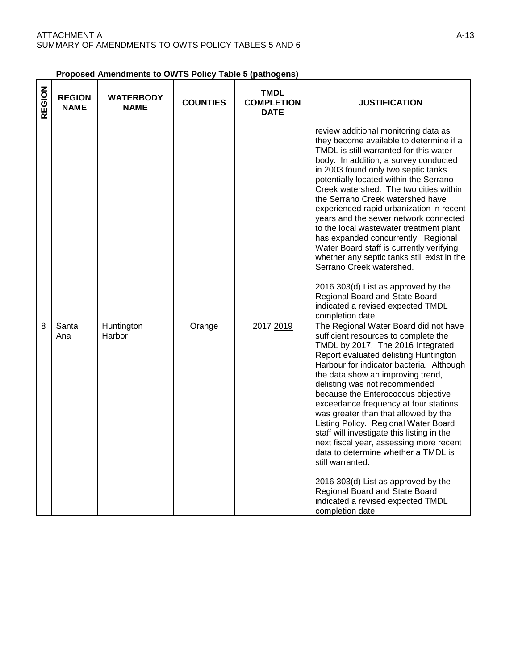#### **Proposed Amendments to OWTS Policy Table 5 (pathogens)**

| REGION | <b>REGION</b><br><b>NAME</b> | <b>WATERBODY</b><br><b>NAME</b> | <b>COUNTIES</b> | <b>TMDL</b><br><b>COMPLETION</b><br><b>DATE</b> | <b>JUSTIFICATION</b>                                                                                                                                                                                                                                                                                                                                                                                                                                                                                                                                                                                                                                                                                                                                             |
|--------|------------------------------|---------------------------------|-----------------|-------------------------------------------------|------------------------------------------------------------------------------------------------------------------------------------------------------------------------------------------------------------------------------------------------------------------------------------------------------------------------------------------------------------------------------------------------------------------------------------------------------------------------------------------------------------------------------------------------------------------------------------------------------------------------------------------------------------------------------------------------------------------------------------------------------------------|
|        |                              |                                 |                 |                                                 | review additional monitoring data as<br>they become available to determine if a<br>TMDL is still warranted for this water<br>body. In addition, a survey conducted<br>in 2003 found only two septic tanks<br>potentially located within the Serrano<br>Creek watershed. The two cities within<br>the Serrano Creek watershed have<br>experienced rapid urbanization in recent<br>years and the sewer network connected<br>to the local wastewater treatment plant<br>has expanded concurrently. Regional<br>Water Board staff is currently verifying<br>whether any septic tanks still exist in the<br>Serrano Creek watershed.<br>2016 303(d) List as approved by the<br>Regional Board and State Board<br>indicated a revised expected TMDL<br>completion date |
| 8      | Santa<br>Ana                 | Huntington<br>Harbor            | Orange          | 2017 2019                                       | The Regional Water Board did not have<br>sufficient resources to complete the<br>TMDL by 2017. The 2016 Integrated<br>Report evaluated delisting Huntington<br>Harbour for indicator bacteria. Although<br>the data show an improving trend,<br>delisting was not recommended<br>because the Enterococcus objective<br>exceedance frequency at four stations<br>was greater than that allowed by the<br>Listing Policy. Regional Water Board<br>staff will investigate this listing in the<br>next fiscal year, assessing more recent<br>data to determine whether a TMDL is<br>still warranted.<br>2016 303(d) List as approved by the<br>Regional Board and State Board<br>indicated a revised expected TMDL<br>completion date                                |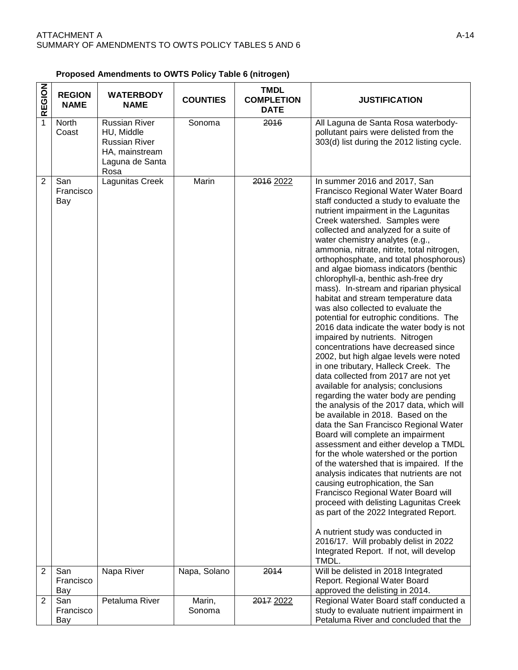| <b>REGION</b>  | <b>REGION</b><br><b>NAME</b> | <b>WATERBODY</b><br><b>NAME</b>                                                                         | <b>COUNTIES</b>  | <b>TMDL</b><br><b>COMPLETION</b><br><b>DATE</b> | <b>JUSTIFICATION</b>                                                                                                                                                                                                                                                                                                                                                                                                                                                                                                                                                                                                                                                                                                                                                                                                                                                                                                                                                                                                                                                                                                                                                                                                                                                                                                                                                                                                                                                                                                                                                                       |
|----------------|------------------------------|---------------------------------------------------------------------------------------------------------|------------------|-------------------------------------------------|--------------------------------------------------------------------------------------------------------------------------------------------------------------------------------------------------------------------------------------------------------------------------------------------------------------------------------------------------------------------------------------------------------------------------------------------------------------------------------------------------------------------------------------------------------------------------------------------------------------------------------------------------------------------------------------------------------------------------------------------------------------------------------------------------------------------------------------------------------------------------------------------------------------------------------------------------------------------------------------------------------------------------------------------------------------------------------------------------------------------------------------------------------------------------------------------------------------------------------------------------------------------------------------------------------------------------------------------------------------------------------------------------------------------------------------------------------------------------------------------------------------------------------------------------------------------------------------------|
| $\overline{1}$ | North<br>Coast               | <b>Russian River</b><br>HU, Middle<br><b>Russian River</b><br>HA, mainstream<br>Laguna de Santa<br>Rosa | Sonoma           | 2016                                            | All Laguna de Santa Rosa waterbody-<br>pollutant pairs were delisted from the<br>303(d) list during the 2012 listing cycle.                                                                                                                                                                                                                                                                                                                                                                                                                                                                                                                                                                                                                                                                                                                                                                                                                                                                                                                                                                                                                                                                                                                                                                                                                                                                                                                                                                                                                                                                |
| $\overline{2}$ | San<br>Francisco<br>Bay      | Lagunitas Creek                                                                                         | Marin            | 2016 2022                                       | In summer 2016 and 2017, San<br>Francisco Regional Water Water Board<br>staff conducted a study to evaluate the<br>nutrient impairment in the Lagunitas<br>Creek watershed. Samples were<br>collected and analyzed for a suite of<br>water chemistry analytes (e.g.,<br>ammonia, nitrate, nitrite, total nitrogen,<br>orthophosphate, and total phosphorous)<br>and algae biomass indicators (benthic<br>chlorophyll-a, benthic ash-free dry<br>mass). In-stream and riparian physical<br>habitat and stream temperature data<br>was also collected to evaluate the<br>potential for eutrophic conditions. The<br>2016 data indicate the water body is not<br>impaired by nutrients. Nitrogen<br>concentrations have decreased since<br>2002, but high algae levels were noted<br>in one tributary, Halleck Creek. The<br>data collected from 2017 are not yet<br>available for analysis; conclusions<br>regarding the water body are pending<br>the analysis of the 2017 data, which will<br>be available in 2018. Based on the<br>data the San Francisco Regional Water<br>Board will complete an impairment<br>assessment and either develop a TMDL<br>for the whole watershed or the portion<br>of the watershed that is impaired. If the<br>analysis indicates that nutrients are not<br>causing eutrophication, the San<br>Francisco Regional Water Board will<br>proceed with delisting Lagunitas Creek<br>as part of the 2022 Integrated Report.<br>A nutrient study was conducted in<br>2016/17. Will probably delist in 2022<br>Integrated Report. If not, will develop<br>TMDL. |
| 2              | San<br>Francisco<br>Bay      | Napa River                                                                                              | Napa, Solano     | 2014                                            | Will be delisted in 2018 Integrated<br>Report. Regional Water Board<br>approved the delisting in 2014.                                                                                                                                                                                                                                                                                                                                                                                                                                                                                                                                                                                                                                                                                                                                                                                                                                                                                                                                                                                                                                                                                                                                                                                                                                                                                                                                                                                                                                                                                     |
| 2              | San<br>Francisco<br>Bay      | Petaluma River                                                                                          | Marin,<br>Sonoma | 2017 2022                                       | Regional Water Board staff conducted a<br>study to evaluate nutrient impairment in<br>Petaluma River and concluded that the                                                                                                                                                                                                                                                                                                                                                                                                                                                                                                                                                                                                                                                                                                                                                                                                                                                                                                                                                                                                                                                                                                                                                                                                                                                                                                                                                                                                                                                                |

 $\top$ 

#### **Proposed Amendments to OWTS Policy Table 6 (nitrogen)**   $\overline{\mathbf{z}}$

٦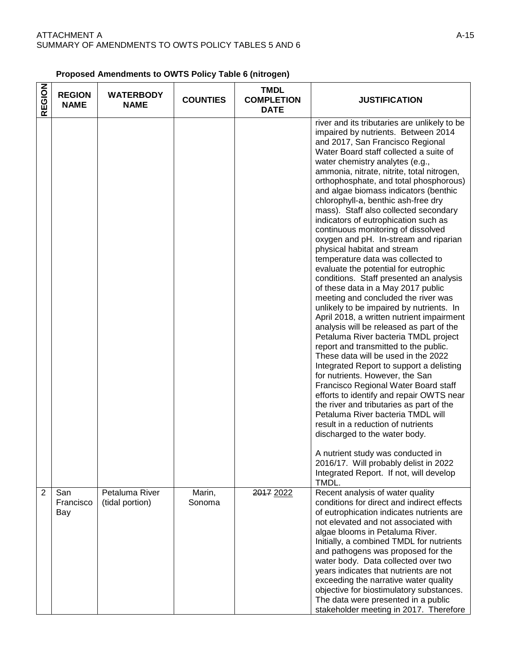| <b>REGION</b>  | <b>REGION</b><br><b>NAME</b> | <b>WATERBODY</b><br><b>NAME</b>   | <b>COUNTIES</b>  | <b>TMDL</b><br><b>COMPLETION</b><br><b>DATE</b> | <b>JUSTIFICATION</b>                                                                                                                                                                                                                                                                                                                                                                                                                                                                                                                                                                                                                                                                                                                                                                                                                                                                                                                                                                                                                                                                                                                                                                                                                                                                                                                                                                                                                                                                                       |
|----------------|------------------------------|-----------------------------------|------------------|-------------------------------------------------|------------------------------------------------------------------------------------------------------------------------------------------------------------------------------------------------------------------------------------------------------------------------------------------------------------------------------------------------------------------------------------------------------------------------------------------------------------------------------------------------------------------------------------------------------------------------------------------------------------------------------------------------------------------------------------------------------------------------------------------------------------------------------------------------------------------------------------------------------------------------------------------------------------------------------------------------------------------------------------------------------------------------------------------------------------------------------------------------------------------------------------------------------------------------------------------------------------------------------------------------------------------------------------------------------------------------------------------------------------------------------------------------------------------------------------------------------------------------------------------------------------|
|                |                              |                                   |                  |                                                 | river and its tributaries are unlikely to be<br>impaired by nutrients. Between 2014<br>and 2017, San Francisco Regional<br>Water Board staff collected a suite of<br>water chemistry analytes (e.g.,<br>ammonia, nitrate, nitrite, total nitrogen,<br>orthophosphate, and total phosphorous)<br>and algae biomass indicators (benthic<br>chlorophyll-a, benthic ash-free dry<br>mass). Staff also collected secondary<br>indicators of eutrophication such as<br>continuous monitoring of dissolved<br>oxygen and pH. In-stream and riparian<br>physical habitat and stream<br>temperature data was collected to<br>evaluate the potential for eutrophic<br>conditions. Staff presented an analysis<br>of these data in a May 2017 public<br>meeting and concluded the river was<br>unlikely to be impaired by nutrients. In<br>April 2018, a written nutrient impairment<br>analysis will be released as part of the<br>Petaluma River bacteria TMDL project<br>report and transmitted to the public.<br>These data will be used in the 2022<br>Integrated Report to support a delisting<br>for nutrients. However, the San<br>Francisco Regional Water Board staff<br>efforts to identify and repair OWTS near<br>the river and tributaries as part of the<br>Petaluma River bacteria TMDL will<br>result in a reduction of nutrients<br>discharged to the water body.<br>A nutrient study was conducted in<br>2016/17. Will probably delist in 2022<br>Integrated Report. If not, will develop<br>TMDL. |
| $\overline{2}$ | San<br>Francisco<br>Bay      | Petaluma River<br>(tidal portion) | Marin,<br>Sonoma | 2017 2022                                       | Recent analysis of water quality<br>conditions for direct and indirect effects<br>of eutrophication indicates nutrients are<br>not elevated and not associated with<br>algae blooms in Petaluma River.<br>Initially, a combined TMDL for nutrients<br>and pathogens was proposed for the<br>water body. Data collected over two<br>years indicates that nutrients are not<br>exceeding the narrative water quality<br>objective for biostimulatory substances.<br>The data were presented in a public<br>stakeholder meeting in 2017. Therefore                                                                                                                                                                                                                                                                                                                                                                                                                                                                                                                                                                                                                                                                                                                                                                                                                                                                                                                                                            |

#### **Proposed Amendments to OWTS Policy Table 6 (nitrogen)**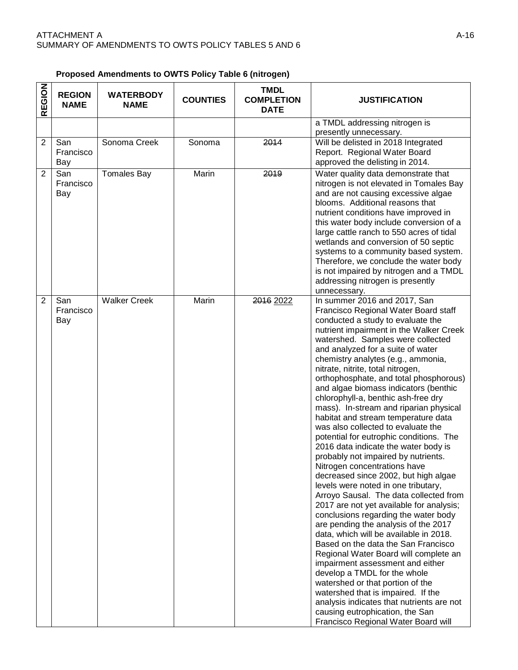|  | Proposed Amendments to OWTS Policy Table 6 (nitrogen) |  |  |  |  |  |
|--|-------------------------------------------------------|--|--|--|--|--|
|--|-------------------------------------------------------|--|--|--|--|--|

| <b>REGION</b>  | <b>REGION</b><br><b>NAME</b> | <b>WATERBODY</b><br><b>NAME</b> | <b>COUNTIES</b> | <b>TMDL</b><br><b>COMPLETION</b><br><b>DATE</b> | <b>JUSTIFICATION</b>                                                                                                                                                                                                                                                                                                                                                                                                                                                                                                                                                                                                                                                                                                                                                                                                                                                                                                                                                                                                                                                                                                                                                                                                                                                                                                                                                     |
|----------------|------------------------------|---------------------------------|-----------------|-------------------------------------------------|--------------------------------------------------------------------------------------------------------------------------------------------------------------------------------------------------------------------------------------------------------------------------------------------------------------------------------------------------------------------------------------------------------------------------------------------------------------------------------------------------------------------------------------------------------------------------------------------------------------------------------------------------------------------------------------------------------------------------------------------------------------------------------------------------------------------------------------------------------------------------------------------------------------------------------------------------------------------------------------------------------------------------------------------------------------------------------------------------------------------------------------------------------------------------------------------------------------------------------------------------------------------------------------------------------------------------------------------------------------------------|
|                |                              |                                 |                 |                                                 | a TMDL addressing nitrogen is<br>presently unnecessary.                                                                                                                                                                                                                                                                                                                                                                                                                                                                                                                                                                                                                                                                                                                                                                                                                                                                                                                                                                                                                                                                                                                                                                                                                                                                                                                  |
| $\overline{2}$ | San<br>Francisco<br>Bay      | Sonoma Creek                    | Sonoma          | 2014                                            | Will be delisted in 2018 Integrated<br>Report. Regional Water Board<br>approved the delisting in 2014.                                                                                                                                                                                                                                                                                                                                                                                                                                                                                                                                                                                                                                                                                                                                                                                                                                                                                                                                                                                                                                                                                                                                                                                                                                                                   |
| $\overline{2}$ | San<br>Francisco<br>Bay      | <b>Tomales Bay</b>              | Marin           | 2019                                            | Water quality data demonstrate that<br>nitrogen is not elevated in Tomales Bay<br>and are not causing excessive algae<br>blooms. Additional reasons that<br>nutrient conditions have improved in<br>this water body include conversion of a<br>large cattle ranch to 550 acres of tidal<br>wetlands and conversion of 50 septic<br>systems to a community based system.<br>Therefore, we conclude the water body<br>is not impaired by nitrogen and a TMDL<br>addressing nitrogen is presently<br>unnecessary.                                                                                                                                                                                                                                                                                                                                                                                                                                                                                                                                                                                                                                                                                                                                                                                                                                                           |
| $\overline{2}$ | San<br>Francisco<br>Bay      | <b>Walker Creek</b>             | Marin           | 2016 2022                                       | In summer 2016 and 2017, San<br>Francisco Regional Water Board staff<br>conducted a study to evaluate the<br>nutrient impairment in the Walker Creek<br>watershed. Samples were collected<br>and analyzed for a suite of water<br>chemistry analytes (e.g., ammonia,<br>nitrate, nitrite, total nitrogen,<br>orthophosphate, and total phosphorous)<br>and algae biomass indicators (benthic<br>chlorophyll-a, benthic ash-free dry<br>mass). In-stream and riparian physical<br>habitat and stream temperature data<br>was also collected to evaluate the<br>potential for eutrophic conditions. The<br>2016 data indicate the water body is<br>probably not impaired by nutrients.<br>Nitrogen concentrations have<br>decreased since 2002, but high algae<br>levels were noted in one tributary,<br>Arroyo Sausal. The data collected from<br>2017 are not yet available for analysis;<br>conclusions regarding the water body<br>are pending the analysis of the 2017<br>data, which will be available in 2018.<br>Based on the data the San Francisco<br>Regional Water Board will complete an<br>impairment assessment and either<br>develop a TMDL for the whole<br>watershed or that portion of the<br>watershed that is impaired. If the<br>analysis indicates that nutrients are not<br>causing eutrophication, the San<br>Francisco Regional Water Board will |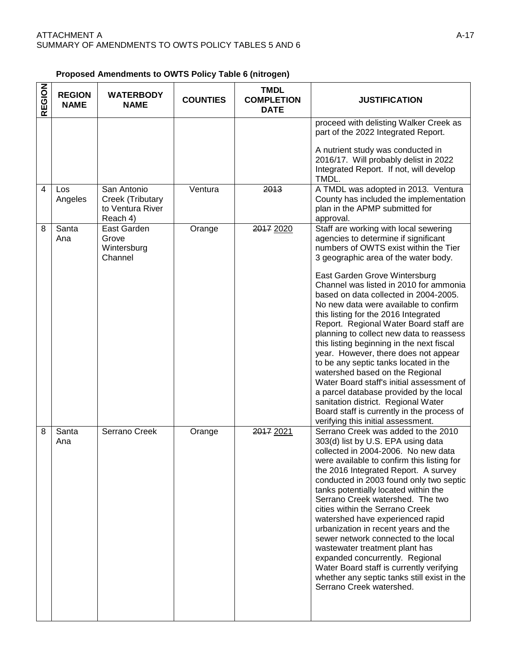#### **Proposed Amendments to OWTS Policy Table 6 (nitrogen)**

| REGION | <b>REGION</b><br><b>NAME</b> | <b>WATERBODY</b><br><b>NAME</b>                                 | <b>COUNTIES</b> | <b>TMDL</b><br><b>COMPLETION</b><br><b>DATE</b> | <b>JUSTIFICATION</b>                                                                                                                                                                                                                                                                                                                                                                                                                                                                                                                                                                                                                                                                                                                                                                                                                          |
|--------|------------------------------|-----------------------------------------------------------------|-----------------|-------------------------------------------------|-----------------------------------------------------------------------------------------------------------------------------------------------------------------------------------------------------------------------------------------------------------------------------------------------------------------------------------------------------------------------------------------------------------------------------------------------------------------------------------------------------------------------------------------------------------------------------------------------------------------------------------------------------------------------------------------------------------------------------------------------------------------------------------------------------------------------------------------------|
|        |                              |                                                                 |                 |                                                 | proceed with delisting Walker Creek as<br>part of the 2022 Integrated Report.<br>A nutrient study was conducted in<br>2016/17. Will probably delist in 2022<br>Integrated Report. If not, will develop<br>TMDL.                                                                                                                                                                                                                                                                                                                                                                                                                                                                                                                                                                                                                               |
| 4      | Los<br>Angeles               | San Antonio<br>Creek (Tributary<br>to Ventura River<br>Reach 4) | Ventura         | 2013                                            | A TMDL was adopted in 2013. Ventura<br>County has included the implementation<br>plan in the APMP submitted for<br>approval.                                                                                                                                                                                                                                                                                                                                                                                                                                                                                                                                                                                                                                                                                                                  |
| 8      | Santa<br>Ana                 | East Garden<br>Grove<br>Wintersburg<br>Channel                  | Orange          | 2017 2020                                       | Staff are working with local sewering<br>agencies to determine if significant<br>numbers of OWTS exist within the Tier<br>3 geographic area of the water body.<br>East Garden Grove Wintersburg<br>Channel was listed in 2010 for ammonia<br>based on data collected in 2004-2005.<br>No new data were available to confirm<br>this listing for the 2016 Integrated<br>Report. Regional Water Board staff are<br>planning to collect new data to reassess<br>this listing beginning in the next fiscal<br>year. However, there does not appear<br>to be any septic tanks located in the<br>watershed based on the Regional<br>Water Board staff's initial assessment of<br>a parcel database provided by the local<br>sanitation district. Regional Water<br>Board staff is currently in the process of<br>verifying this initial assessment. |
| 8      | Santa<br>Ana                 | Serrano Creek                                                   | Orange          | 2017 2021                                       | Serrano Creek was added to the 2010<br>303(d) list by U.S. EPA using data<br>collected in 2004-2006. No new data<br>were available to confirm this listing for<br>the 2016 Integrated Report. A survey<br>conducted in 2003 found only two septic<br>tanks potentially located within the<br>Serrano Creek watershed. The two<br>cities within the Serrano Creek<br>watershed have experienced rapid<br>urbanization in recent years and the<br>sewer network connected to the local<br>wastewater treatment plant has<br>expanded concurrently. Regional<br>Water Board staff is currently verifying<br>whether any septic tanks still exist in the<br>Serrano Creek watershed.                                                                                                                                                              |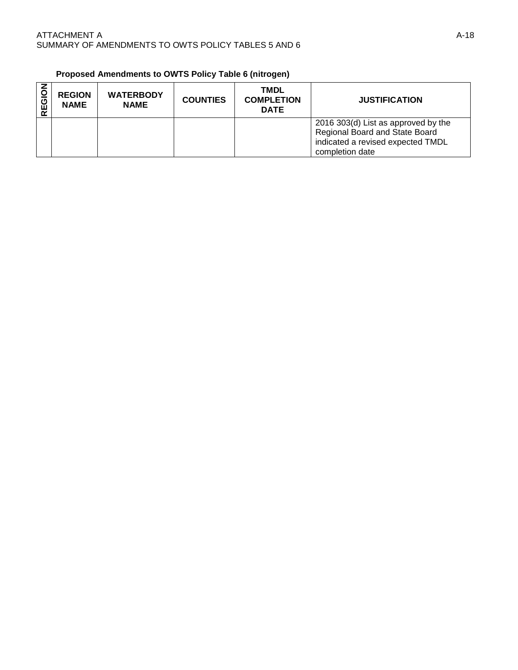| Proposed Amendments to OWTS Policy Table 6 (nitrogen) |  |  |
|-------------------------------------------------------|--|--|
|-------------------------------------------------------|--|--|

| ပ<br>$\mathbf{r}$ | <b>REGION</b><br><b>NAME</b> | <b>WATERBODY</b><br><b>NAME</b> | <b>COUNTIES</b> | <b>TMDL</b><br><b>COMPLETION</b><br><b>DATE</b> | <b>JUSTIFICATION</b>                                                                                                          |
|-------------------|------------------------------|---------------------------------|-----------------|-------------------------------------------------|-------------------------------------------------------------------------------------------------------------------------------|
|                   |                              |                                 |                 |                                                 | 2016 303(d) List as approved by the<br>Regional Board and State Board<br>indicated a revised expected TMDL<br>completion date |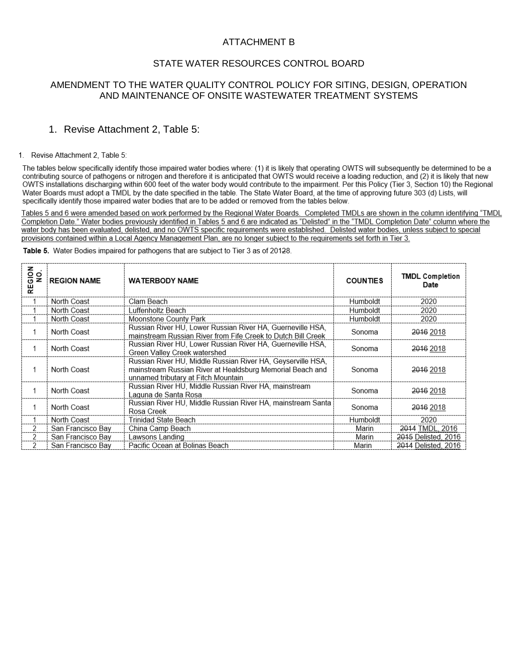### ATTACHMENT B

#### STATE WATER RESOURCES CONTROL BOARD

#### AMENDMENT TO THE WATER QUALITY CONTROL POLICY FOR SITING, DESIGN, OPERATION AND MAINTENANCE OF ONSITE WASTEWATER TREATMENT SYSTEMS

#### 1. Revise Attachment 2, Table 5:

#### 1. Revise Attachment 2, Table 5:

The tables below specifically identify those impaired water bodies where: (1) it is likely that operating OWTS will subsequently be determined to be a contributing source of pathogens or nitrogen and therefore it is anticipated that OWTS would receive a loading reduction, and (2) it is likely that new OWTS installations discharging within 600 feet of the water body would contribute to the impairment. Per this Policy (Tier 3, Section 10) the Regional Water Boards must adopt a TMDL by the date specified in the table. The State Water Board, at the time of approving future 303 (d) Lists, will specifically identify those impaired water bodies that are to be added or removed from the tables below.

Tables 5 and 6 were amended based on work performed by the Regional Water Boards. Completed TMDLs are shown in the column identifying "TMDL Completion Date." Water bodies previously identified in Tables 5 and 6 are indicated as "Delisted" in the "TMDL Completion Date" column where the water body has been evaluated, delisted, and no OWTS specific requirements were established. Delisted water bodies, unless subject to special provisions contained within a Local Agency Management Plan, are no longer subject to the requirements set forth in Tier 3.

| <b>REGION</b><br>NO. | <b>REGION NAME</b> | <b>WATERBODY NAME</b>                                                                                                                                           | <b>COUNTIES</b> | <b>TMDL Completion</b><br>Date |
|----------------------|--------------------|-----------------------------------------------------------------------------------------------------------------------------------------------------------------|-----------------|--------------------------------|
|                      | North Coast        | Clam Beach                                                                                                                                                      | Humboldt        | 2020                           |
|                      | North Coast        | Luffenholtz Beach                                                                                                                                               | Humboldt        | 2020                           |
|                      | North Coast        | Moonstone County Park                                                                                                                                           | Humboldt        | 2020                           |
|                      | North Coast        | Russian River HU, Lower Russian River HA, Guerneville HSA,<br>mainstream Russian River from Fife Creek to Dutch Bill Creek                                      | Sonoma          | 2016 2018                      |
|                      | North Coast        | Russian River HU, Lower Russian River HA, Guerneville HSA,<br>Green Valley Creek watershed                                                                      | Sonoma          | 2016 2018                      |
|                      | North Coast        | Russian River HU, Middle Russian River HA, Geyserville HSA,<br>mainstream Russian River at Healdsburg Memorial Beach and<br>unnamed tributary at Fitch Mountain | Sonoma          | 2016 2018                      |
|                      | North Coast        | Russian River HU, Middle Russian River HA, mainstream<br>Laguna de Santa Rosa                                                                                   | Sonoma          | 2016 2018                      |
|                      | North Coast        | Russian River HU, Middle Russian River HA, mainstream Santa<br>Rosa Creek                                                                                       | Sonoma          | 2016 2018                      |
|                      | North Coast        | Trinidad State Beach                                                                                                                                            | Humboldt        | 2020                           |
| 2                    | San Francisco Bay  | China Camp Beach                                                                                                                                                | Marin           | 2014 TMDL, 2016                |
| 2                    | San Francisco Bay  | Lawsons Landing                                                                                                                                                 | Marin           | 2015 Delisted, 2016            |
| 2                    | San Francisco Bay  | Pacific Ocean at Bolinas Beach                                                                                                                                  | Marin           | 2014 Delisted, 2016            |

Table 5. Water Bodies impaired for pathogens that are subject to Tier 3 as of 20128.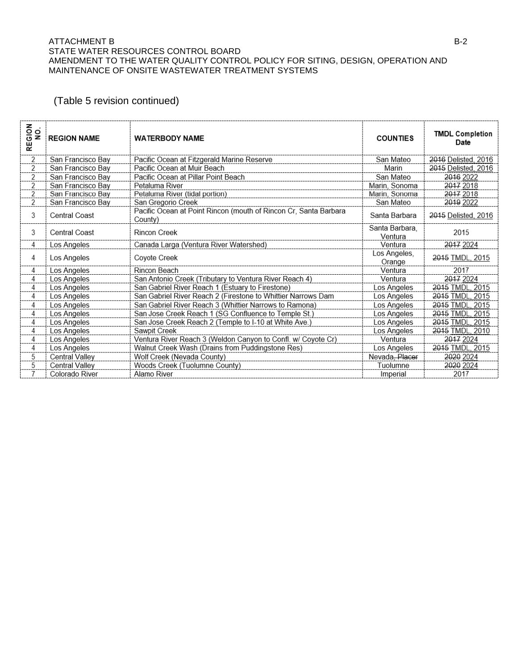#### ATTACHMENT B B-2 STATE WATER RESOURCES CONTROL BOARD AMENDMENT TO THE WATER QUALITY CONTROL POLICY FOR SITING, DESIGN, OPERATION AND MAINTENANCE OF ONSITE WASTEWATER TREATMENT SYSTEMS

## (Table 5 revision continued)

| <b>SION</b><br>$\mathbf{o}$<br>z<br>ш<br>œ | <b>REGION NAME</b>    | <b>WATERBODY NAME</b>                                                       | <b>COUNTIES</b>           | <b>TMDL Completion</b><br>Date |
|--------------------------------------------|-----------------------|-----------------------------------------------------------------------------|---------------------------|--------------------------------|
| 2                                          | San Francisco Bay     | Pacific Ocean at Fitzgerald Marine Reserve                                  | San Mateo                 | 2016 Delisted, 2016            |
| 2                                          | San Francisco Bay     | Pacific Ocean at Muir Beach                                                 | Marin                     | 2015 Delisted, 2016            |
| $\overline{2}$                             | San Francisco Bay     | Pacific Ocean at Pillar Point Beach                                         | San Mateo                 | 2016 2022                      |
| 2                                          | San Francisco Bay     | Petaluma River                                                              | Marin, Sonoma             | 2017 2018                      |
| $\overline{2}$                             | San Francisco Bay     | Petaluma River (tidal portion)                                              | Marin, Sonoma             | 2017 2018                      |
| 2                                          | San Francisco Bay     | San Gregorio Creek                                                          | San Mateo                 | 2019 2022                      |
| 3                                          | <b>Central Coast</b>  | Pacific Ocean at Point Rincon (mouth of Rincon Cr, Santa Barbara<br>County) | Santa Barbara             | 2015 Delisted, 2016            |
| 3                                          | <b>Central Coast</b>  | <b>Rincon Creek</b>                                                         | Santa Barbara,<br>Ventura | 2015                           |
| 4                                          | Los Angeles           | Canada Larga (Ventura River Watershed)                                      | Ventura                   | 2017 2024                      |
| 4                                          | Los Angeles           | Coyote Creek                                                                | Los Angeles,<br>Orange    | 2015 TMDL, 2015                |
| 4                                          | Los Angeles           | Rincon Beach                                                                | Ventura                   | 2017                           |
| 4                                          | Los Angeles           | San Antonio Creek (Tributary to Ventura River Reach 4)                      | Ventura                   | 2017 2024                      |
| 4                                          | Los Angeles           | San Gabriel River Reach 1 (Estuary to Firestone)                            | Los Angeles               | 2015 TMDL, 2015                |
| 4                                          | Los Angeles           | San Gabriel River Reach 2 (Firestone to Whittier Narrows Dam                | Los Angeles               | 2015 TMDL, 2015                |
| 4                                          | Los Angeles           | San Gabriel River Reach 3 (Whittier Narrows to Ramona)                      | Los Angeles               | 2015 TMDL, 2015                |
| 4                                          | Los Angeles           | San Jose Creek Reach 1 (SG Confluence to Temple St.)                        | Los Angeles               | 2015 TMDL, 2015                |
| 4                                          | Los Angeles           | San Jose Creek Reach 2 (Temple to I-10 at White Ave.)                       | Los Angeles               | 2015 TMDL, 2015                |
| $\overline{4}$                             | Los Angeles           | Sawpit Creek                                                                | Los Angeles               | 2015 TMDL, 2010                |
| 4                                          | Los Angeles           | Ventura River Reach 3 (Weldon Canyon to Confl. w/ Coyote Cr)                | Ventura                   | 2017 2024                      |
| 4                                          | Los Angeles           | Walnut Creek Wash (Drains from Puddingstone Res)                            | Los Angeles               | 2015 TMDL, 2015                |
| 5                                          | <b>Central Valley</b> | Wolf Creek (Nevada County)                                                  | Nevada, Placer            | 2020 2024                      |
| 5                                          | <b>Central Valley</b> | Woods Creek (Tuolumne County)                                               | Tuolumne                  | 2020 2024                      |
| 7                                          | Colorado River        | Alamo River                                                                 | Imperial                  | 2017                           |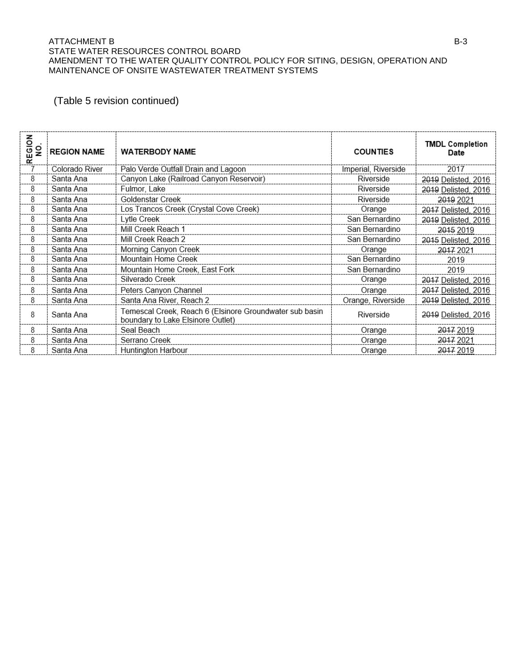#### ATTACHMENT B B-3 STATE WATER RESOURCES CONTROL BOARD AMENDMENT TO THE WATER QUALITY CONTROL POLICY FOR SITING, DESIGN, OPERATION AND MAINTENANCE OF ONSITE WASTEWATER TREATMENT SYSTEMS

## (Table 5 revision continued)

| 중<br>$\frac{1}{2}$<br>EG<br>œ | <b>REGION NAME</b> | <b>WATERBODY NAME</b>                                                                        | <b>COUNTIES</b>     | <b>TMDL Completion</b><br>Date |
|-------------------------------|--------------------|----------------------------------------------------------------------------------------------|---------------------|--------------------------------|
|                               | Colorado River     | Palo Verde Outfall Drain and Lagoon                                                          | Imperial, Riverside | 2017                           |
| 8                             | Santa Ana          | Canyon Lake (Railroad Canyon Reservoir)                                                      | Riverside           | 2019 Delisted, 2016            |
| 8                             | Santa Ana          | Fulmor, Lake                                                                                 | Riverside           | 2019 Delisted, 2016            |
| 8                             | Santa Ana          | Goldenstar Creek                                                                             | Riverside           | 2019 2021                      |
| 8                             | Santa Ana          | Los Trancos Creek (Crystal Cove Creek)                                                       | Orange              | 2017 Delisted, 2016            |
| 8                             | Santa Ana          | Lytle Creek                                                                                  | San Bernardino      | 2019 Delisted, 2016            |
| 8                             | Santa Ana          | Mill Creek Reach 1                                                                           | San Bernardino      | 2015 2019                      |
| 8                             | Santa Ana          | Mill Creek Reach 2                                                                           | San Bernardino      | 2015 Delisted, 2016            |
| 8                             | Santa Ana          | Morning Canyon Creek                                                                         | Orange              | 2017 2021                      |
| 8                             | Santa Ana          | Mountain Home Creek                                                                          | San Bernardino      | 2019                           |
| 8                             | Santa Ana          | Mountain Home Creek, East Fork                                                               | San Bernardino      | 2019                           |
| 8                             | Santa Ana          | Silverado Creek                                                                              | Orange              | 2017 Delisted, 2016            |
| 8                             | Santa Ana          | Peters Canyon Channel                                                                        | Orange              | 2017 Delisted, 2016            |
| 8                             | Santa Ana          | Santa Ana River, Reach 2                                                                     | Orange, Riverside   | 2019 Delisted, 2016            |
| 8                             | Santa Ana          | Temescal Creek, Reach 6 (Elsinore Groundwater sub basin<br>boundary to Lake Elsinore Outlet) | Riverside           | 2019 Delisted, 2016            |
| 8                             | Santa Ana          | Seal Beach                                                                                   | Orange              | 2017 2019                      |
| 8                             | Santa Ana          | Serrano Creek                                                                                | Orange              | 2017 2021                      |
| 8                             | Santa Ana          | <b>Huntington Harbour</b>                                                                    | Orange              | 2017 2019                      |